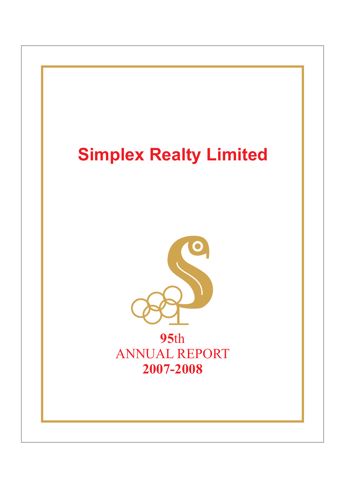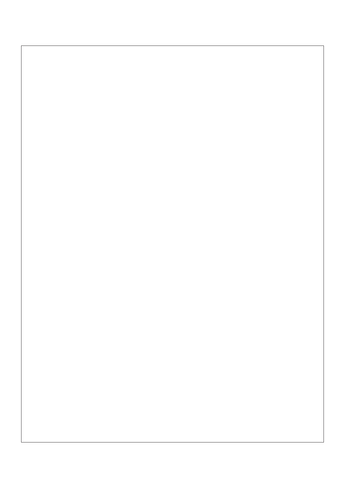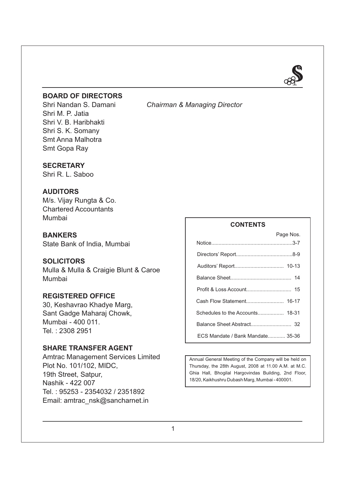

# **BOARD OF DIRECTORS**

Shri M. P. Jatia Shri V. B. Haribhakti Shri S. K. Somany Smt Anna Malhotra Smt Gopa Ray

# **SECRETARY**

Shri R. L. Saboo

# **AUDITORS**

M/s. Vijay Rungta & Co. Chartered Accountants Mumbai

**BANKERS** State Bank of India, Mumbai

# **SOLICITORS**

Mulla & Mulla & Craigie Blunt & Caroe Mumbai

# **REGISTERED OFFICE**

30, Keshavrao Khadye Marg, Sant Gadge Maharaj Chowk, Mumbai - 400 011. Tel. : 2308 2951

# **SHARE TRANSFER AGENT**

Amtrac Management Services Limited Plot No. 101/102, MIDC, 19th Street, Satpur, Nashik - 422 007 Tel. : 95253 - 2354032 / 2351892 Email: amtrac\_nsk@sancharnet.in

# Shri Nandan S. Damani *Chairman & Managing Director*

# **CONTENTS**

# Notice........................................................3-7 Directors' Report.......................................8-9 Auditors' Report.................................. 10-13 Balance Sheet.......................................... 14 Profit & Loss Account............................... 15 Cash Flow Statement.......................... 16-17 Schedules to the Accounts.................. 18-31 Balance Sheet Abstract............................ 32 ECS Mandate / Bank Mandate............ 35-36 Page Nos.

Annual General Meeting of the Company will be held on Thursday, the 28th August, 2008 at 11.00 A.M. at M.C. Ghia Hall, Bhogilal Hargovindas Building, 2nd Floor, 18/20, Kaikhushru Dubash Marg, Mumbai - 400001.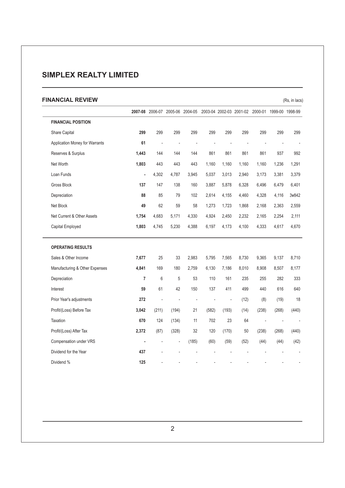|                                |                |       |                |       |       |       |       | 2007-08 2006-07 2005-06 2004-05 2003-04 2002-03 2001-02 2000-01 1999-00 1998-99 |       |       |
|--------------------------------|----------------|-------|----------------|-------|-------|-------|-------|---------------------------------------------------------------------------------|-------|-------|
| <b>FINANCIAL POSITION</b>      |                |       |                |       |       |       |       |                                                                                 |       |       |
| Share Capital                  | 299            | 299   | 299            | 299   | 299   | 299   | 299   | 299                                                                             | 299   | 299   |
| Application Money for Warrants | 61             | ÷,    |                |       |       |       |       |                                                                                 |       |       |
| Reserves & Surplus             | 1,443          | 144   | 144            | 144   | 861   | 861   | 861   | 861                                                                             | 937   | 992   |
| Net Worth                      | 1,803          | 443   | 443            | 443   | 1,160 | 1,160 | 1,160 | 1,160                                                                           | 1,236 | 1,291 |
| Loan Funds                     | ä,             | 4,302 | 4.787          | 3.945 | 5,037 | 3,013 | 2,940 | 3,173                                                                           | 3,381 | 3,379 |
| <b>Gross Block</b>             | 137            | 147   | 138            | 160   | 3,887 | 5,878 | 6,328 | 6,496                                                                           | 6,479 | 6,401 |
| Depreciation                   | 88             | 85    | 79             | 102   | 2,614 | 4,155 | 4,460 | 4,328                                                                           | 4,116 | 3v842 |
| Net Block                      | 49             | 62    | 59             | 58    | 1,273 | 1,723 | 1,868 | 2,168                                                                           | 2,363 | 2,559 |
| Net Current & Other Assets     | 1,754          | 4,683 | 5,171          | 4,330 | 4,924 | 2,450 | 2,232 | 2,165                                                                           | 2,254 | 2,111 |
| Capital Employed               | 1,803          | 4,745 | 5,230          | 4,388 | 6,197 | 4,173 | 4,100 | 4,333                                                                           | 4,617 | 4,670 |
| <b>OPERATING RESULTS</b>       |                |       |                |       |       |       |       |                                                                                 |       |       |
| Sales & Other Income           | 7,677          | 25    | 33             | 2,983 | 5,795 | 7,565 | 8,730 | 9,365                                                                           | 9,137 | 8,710 |
| Manufacturing & Other Expenses | 4,841          | 169   | 180            | 2,759 | 6,130 | 7,186 | 8,010 | 8,908                                                                           | 8,507 | 8,177 |
| Depreciation                   | $\overline{7}$ | 6     | 5              | 53    | 110   | 161   | 235   | 255                                                                             | 282   | 333   |
| Interest                       | 59             | 61    | 42             | 150   | 137   | 411   | 499   | 440                                                                             | 616   | 640   |
| Prior Year's adjustments       | 272            | ÷,    |                | ÷,    |       | ÷,    | (12)  | (8)                                                                             | (19)  | 18    |
| Profit/(Loss) Before Tax       | 3,042          | (211) | (194)          | 21    | (582) | (193) | (14)  | (238)                                                                           | (268) | (440) |
| <b>Taxation</b>                | 670            | 124   | (134)          | 11    | 702   | 23    | 64    |                                                                                 |       |       |
| Profit/(Loss) After Tax        | 2,372          | (87)  | (328)          | 32    | 120   | (170) | 50    | (238)                                                                           | (268) | (440) |
| Compensation under VRS         | ä,             | ÷,    | $\blacksquare$ | (185) | (60)  | (59)  | (52)  | (44)                                                                            | (44)  | (42)  |
| Dividend for the Year          | 437            |       |                |       |       |       |       |                                                                                 |       |       |
| Dividend %                     | 125            |       |                |       |       |       |       |                                                                                 |       |       |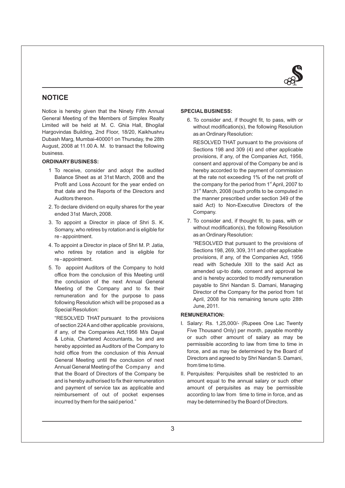

# **NOTICE**

Notice is hereby given that the Ninety Fifth Annual General Meeting of the Members of Simplex Realty Limited will be held at M. C. Ghia Hall, Bhogilal Hargovindas Building, 2nd Floor, 18/20, Kaikhushru Dubash Marg, Mumbai-400001 on Thursday, the 28th August, 2008 at 11.00 A. M. to transact the following business.

#### **ORDINARY BUSINESS:**

- 1 To receive, consider and adopt the audited Balance Sheet as at 31st March, 2008 and the Profit and Loss Account for the year ended on that date and the Reports of the Directors and Auditors thereon.
- 2. To declare dividend on equity shares for the year ended 31st March, 2008.
- 3. To appoint a Director in place of Shri S. K. Somany, who retires by rotation and is eligible for re - appointment.
- 4. To appoint a Director in place of Shri M. P. Jatia, who retires by rotation and is eligible for re - appointment.
- 5. To appoint Auditors of the Company to hold office from the conclusion of this Meeting until the conclusion of the next Annual General Meeting of the Company and to fix their remuneration and for the purpose to pass following Resolution which will be proposed as a Special Resolution:

"RESOLVED THAT pursuant to the provisions of section 224 Aand other applicable provisions, if any, of the Companies Act,1956 M/s Dayal & Lohia, Chartered Accountants, be and are hereby appointed as Auditors of the Company to hold office from the conclusion of this Annual General Meeting until the conclusion of next Annual General Meeting of the Company and that the Board of Directors of the Company be and is hereby authorised to fix their remuneration and payment of service tax as applicable and reimbursement of out of pocket expenses incurred by them for the said period."

# **SPECIAL BUSINESS:**

6. To consider and, if thought fit, to pass, with or without modification(s), the following Resolution as an Ordinary Resolution:

RESOLVED THAT pursuant to the provisions of Sections 198 and 309 (4) and other applicable provisions, if any, of the Companies Act, 1956, consent and approval of the Company be and is hereby accorded to the payment of commission at the rate not exceeding 1% of the net profit of the company for the period from  $1<sup>st</sup>$  April, 2007 to 31<sup>st</sup> March, 2008 (such profits to be computed in the manner prescribed under section 349 of the said Act) to Non-Executive Directors of the Company.

7. To consider and, if thought fit, to pass, with or without modification(s), the following Resolution as an Ordinary Resolution:

"RESOLVED that pursuant to the provisions of Sections 198, 269, 309, 311 and other applicable provisions, if any, of the Companies Act, 1956 read with Schedule XIII to the said Act as amended up-to date, consent and approval be and is hereby accorded to modify remuneration payable to Shri Nandan S. Damani, Managing Director of the Company for the period from 1st April, 2008 for his remaining tenure upto 28th June, 2011.

#### **REMUNERATION:**

- I. Salary: Rs. 1,25,000/- (Rupees One Lac Twenty Five Thousand Only) per month, payable monthly or such other amount of salary as may be permissible according to law from time to time in force, and as may be determined by the Board of Directors and agreed to by Shri Nandan S. Damani, from time to time.
- II. Perquisites: Perquisites shall be restricted to an amount equal to the annual salary or such other amount of perquisites as may be permissible according to law from time to time in force, and as may be determined by the Board of Directors.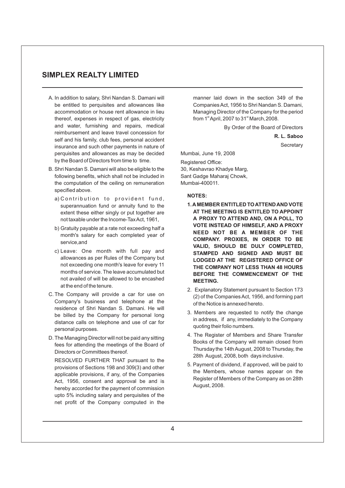- A. In addition to salary, Shri Nandan S. Damani will be entitled to perquisites and allowances like accommodation or house rent allowance in lieu thereof, expenses in respect of gas, electricity and water, furnishing and repairs, medical reimbursement and leave travel concession for self and his family, club fees, personal accident insurance and such other payments in nature of perquisites and allowances as may be decided by the Board of Directors from time to time.
- B. Shri Nandan S. Damani will also be eligible to the following benefits, which shall not be included in the computation of the ceiling on remuneration specified above.
	- a) Contribution to provident fund, superannuation fund or annuity fund to the extent these either singly or put together are not taxable under the Income-Tax Act, 1961,
	- b) Gratuity payable at a rate not exceeding half a month's salary for each completed year of service,and
	- c) Leave: One month with full pay and allowances as per Rules of the Company but not exceeding one month's leave for every 11 months of service. The leave accumulated but not availed of will be allowed to be encashed at the end of the tenure.
- C. The Company will provide a car for use on Company's business and telephone at the residence of Shri Nandan S. Damani. He will be billed by the Company for personal long distance calls on telephone and use of car for personal purposes.
- D. The Managing Director will not be paid any sitting fees for attending the meetings of the Board of Directors or Committees thereof.

RESOLVED FURTHER THAT pursuant to the provisions of Sections 198 and 309(3) and other applicable provisions, if any, of the Companies Act, 1956, consent and approval be and is hereby accorded for the payment of commission upto 5% including salary and perquisites of the net profit of the Company computed in the manner laid down in the section 349 of the Companies Act, 1956 to Shri Nandan S. Damani, Managing Director of the Company for the period from  $1<sup>st</sup>$  April, 2007 to 31 $<sup>st</sup>$  March, 2008.</sup>

By Order of the Board of Directors

**R. L. Saboo Secretary** 

Mumbai, June 19, 2008 Registered Office:

30, Keshavrao Khadye Marg, Sant Gadge Maharaj Chowk, Mumbai-400011.

# **NOTES:**

- **1. AMEMBER ENTITLED TO ATTEND AND VOTE AT THE MEETING IS ENTITLED TO APPOINT A PROXY TO ATTEND AND, ON A POLL, TO VOTE INSTEAD OF HIMSELF, AND A PROXY NEED NOT BE A MEMBER OF THE COMPANY. PROXIES, IN ORDER TO BE VALID, SHOULD BE DULY COMPLETED, STAMPED AND SIGNED AND MUST BE LODGED AT THE REGISTERED OFFICE OF THE COMPANY NOT LESS THAN 48 HOURS BEFORE THE COMMENCEMENT OF THE MEETING.**
- 2. Explanatory Statement pursuant to Section 173 (2) of the Companies Act, 1956, and forming part of the Notice is annexed hereto.
- 3. Members are requested to notify the change in address, if any, immediately to the Company quoting their folio numbers.
- 4. The Register of Members and Share Transfer Books of the Company will remain closed from Thursday the 14th August, 2008 to Thursday, the 28th August, 2008, both days inclusive.
- 5. Payment of dividend, if approved, will be paid to the Members, whose names appear on the Register of Members of the Company as on 28th August, 2008.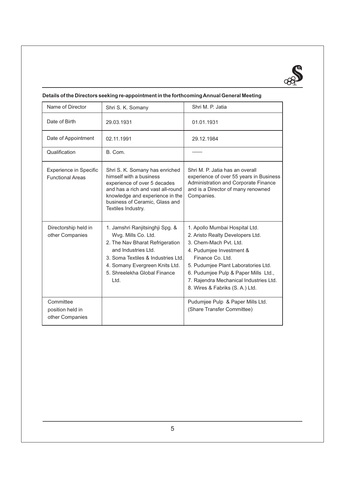

| Name of Director                                         | Shri S. K. Somany                                                                                                                                                                                                                | Shri M. P. Jatia                                                                                                                                                                                                                                                                                         |
|----------------------------------------------------------|----------------------------------------------------------------------------------------------------------------------------------------------------------------------------------------------------------------------------------|----------------------------------------------------------------------------------------------------------------------------------------------------------------------------------------------------------------------------------------------------------------------------------------------------------|
| Date of Birth                                            | 29.03.1931                                                                                                                                                                                                                       | 01.01.1931                                                                                                                                                                                                                                                                                               |
| Date of Appointment                                      | 02.11.1991                                                                                                                                                                                                                       | 29.12.1984                                                                                                                                                                                                                                                                                               |
| Qualification                                            | B. Com.                                                                                                                                                                                                                          |                                                                                                                                                                                                                                                                                                          |
| <b>Experience in Specific</b><br><b>Functional Areas</b> | Shri S. K. Somany has enriched<br>himself with a business<br>experience of over 5 decades<br>and has a rich and vast all-round<br>knowledge and experience in the<br>business of Ceramic, Glass and<br>Textiles Industry.        | Shri M. P. Jatia has an overall<br>experience of over 55 years in Business<br>Administration and Corporate Finance<br>and is a Director of many renowned<br>Companies.                                                                                                                                   |
| Directorship held in<br>other Companies                  | 1. Jamshri Ranjitsinghji Spg. &<br>Wvg. Mills Co. Ltd.<br>2. The Nav Bharat Refrigeration<br>and Industries Ltd.<br>3. Soma Textiles & Industries Ltd.<br>4. Somany Evergreen Knits Ltd.<br>5. Shreelekha Global Finance<br>Ltd. | 1. Apollo Mumbai Hospital Ltd.<br>2. Aristo Realty Developers Ltd.<br>3. Chem-Mach Pvt. Ltd.<br>4. Pudumjee Investment &<br>Finance Co. Ltd.<br>5. Pudumjee Plant Laboratories Ltd.<br>6. Pudumjee Pulp & Paper Mills Ltd.,<br>7. Rajendra Mechanical Industries Ltd.<br>8. Wires & Fabriks (S. A.) Ltd. |
| Committee<br>position held in<br>other Companies         |                                                                                                                                                                                                                                  | Pudumjee Pulp & Paper Mills Ltd.<br>(Share Transfer Committee)                                                                                                                                                                                                                                           |

# **Details of the Directors seeking re-appointment in the forthcoming Annual General Meeting**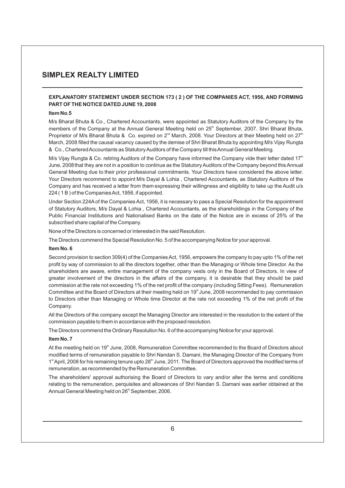# **EXPLANATORY STATEMENT UNDER SECTION 173 ( 2 ) OF THE COMPANIES ACT, 1956, AND FORMING PART OF THE NOTICE DATED JUNE 19, 2008**

#### **Item No.5**

M/s Bharat Bhuta & Co., Chartered Accountants, were appointed as Statutory Auditors of the Company by the members of the Company at the Annual General Meeting held on 25<sup>th</sup> September, 2007. Shri Bharat Bhuta, Proprietor of M/s Bharat Bhuta & Co. expired on  $2^{nd}$  March, 2008. Your Directors at their Meeting held on  $27<sup>th</sup>$ March, 2008 filled the causal vacancy caused by the demise of Shri Bharat Bhuta by appointing M/s Vijay Rungta & Co., Chartered Accountants as Statutory Auditors of the Company till this Annual General Meeting.

M/s Vijay Rungta & Co. retiring Auditors of the Company have informed the Company vide their letter dated 17<sup>th</sup> June, 2008that they are not in a position to continue as the Statutory Auditors of the Company beyond this Annual General Meeting due to their prior professional commitments. Your Directors have considered the above letter. Your Directors recommend to appoint M/s Dayal & Lohia , Chartered Accountants, as Statutory Auditors of the Company and has received a letter from them expressing their willingness and eligibility to take up the Audit u/s 224 ( 1 B ) of the Companies Act, 1956, if appointed.

Under Section 224Aof the Companies Act, 1956, it is necessary to pass a Special Resolution for the appointment of Statutory Auditors, M/s Dayal & Lohia , Chartered Accountants, as the shareholdings in the Company of the Public Financial Institutions and Nationalised Banks on the date of the Notice are in excess of 25% of the subscribed share capital of the Company.

None of the Directors is concerned or interested in the said Resolution.

The Directors commend the Special Resolution No. 5 of the accompanying Notice for your approval.

#### **Item No. 6**

Second provision to section 309(4) of the Companies Act, 1956, empowers the company to pay upto 1% of the net profit by way of commission to all the directors together, other than the Managing or Whole time Director. As the shareholders are aware, entire management of the company vests only in the Board of Directors. In view of greater involvement of the directors in the affairs of the company, it is desirable that they should be paid commission at the rate not exceeding 1% of the net profit of the company (including Sitting Fees). Remuneration Committee and the Board of Directors at their meeting held on 19<sup>th</sup> June, 2008 recommended to pay commission to Directors other than Managing or Whole time Director at the rate not exceeding 1% of the net profit of the Company.

All the Directors of the company except the Managing Director are interested in the resolution to the extent of the commission payable to them in accordance with the proposed resolution.

The Directors commend the Ordinary Resolution No. 6 of the accompanying Notice for your approval.

#### **Item No. 7**

At the meeting held on 19<sup>th</sup> June, 2008, Remuneration Committee recommended to the Board of Directors about modified terms of remuneration payable to Shri Nandan S. Damani, the Managing Director of the Company from 1<sup>st</sup> April, 2008 for his remaining tenure upto 28<sup>th</sup> June, 2011. The Board of Directors approved the modified terms of remuneration, as recommended by the Remuneration Committee.

The shareholders' approval authorising the Board of Directors to vary and/or alter the terms and conditions relating to the remuneration, perquisites and allowances of Shri Nandan S. Damani was earlier obtained at the Annual General Meeting held on 26<sup>th</sup> September, 2006.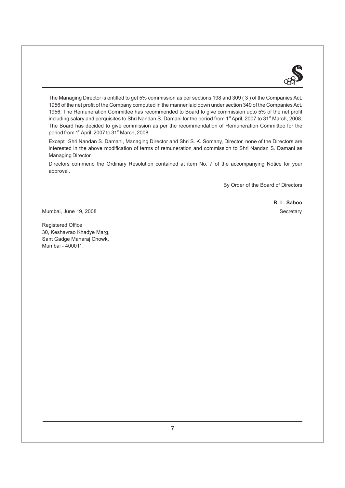

The Managing Director is entitled to get 5% commission as per sections 198 and 309 ( 3 ) of the Companies Act, 1956 of the net profit of the Company computed in the manner laid down under section 349 of the Companies Act, 1956. The Remuneration Committee has recommended to Board to give commission upto 5% of the net profit including salary and perquisites to Shri Nandan S. Damani for the period from 1<sup>st</sup> April, 2007 to 31<sup>st</sup> March, 2008. The Board has decided to give commission as per the recommendation of Remuneration Committee for the period from 1<sup>st</sup> April, 2007 to 31<sup>st</sup> March, 2008.

Except Shri Nandan S. Damani, Managing Director and Shri S. K. Somany, Director, none of the Directors are interested in the above modification of terms of remuneration and commission to Shri Nandan S. Damani as Managing Director.

Directors commend the Ordinary Resolution contained at item No. 7 of the accompanying Notice for your approval.

By Order of the Board of Directors

**R. L. Saboo**

Mumbai, June 19, 2008 **Secretary** Secretary 3. The Secretary Secretary Secretary Secretary Secretary Secretary Secretary Secretary Secretary Secretary Secretary Secretary Secretary Secretary Secretary Secretary Secretary S

Registered Office 30, Keshavrao Khadye Marg, Sant Gadge Maharaj Chowk, Mumbai - 400011.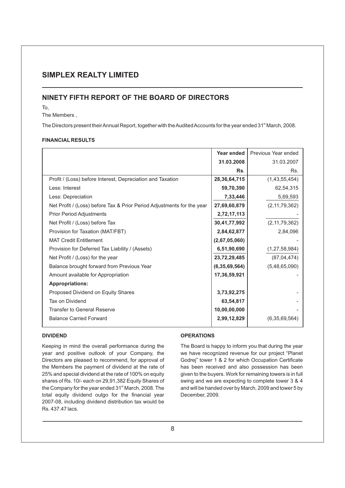# **NINETY FIFTH REPORT OF THE BOARD OF DIRECTORS**

To,

The Members ,

The Directors present their Annual Report, together with the Audited Accounts for the year ended 31<sup>st</sup> March, 2008.

#### **FINANCIAL RESULTS**

|                                                                        | Year ended       | Previous Year ended |
|------------------------------------------------------------------------|------------------|---------------------|
|                                                                        | 31.03.2008       | 31.03.2007          |
|                                                                        | Rs.              | Rs.                 |
| Profit / (Loss) before Interest, Depreciation and Taxation             | 28, 36, 64, 715  | (1,43,55,454)       |
| Less: Interest                                                         | 59,70,390        | 62,54,315           |
| Less: Depreciation                                                     | 7,33,446         | 5,69,593            |
| Net Profit / (Loss) before Tax & Prior Period Adjustments for the year | 27,69,60,879     | (2, 11, 79, 362)    |
| <b>Prior Period Adjustments</b>                                        | 2,72,17,113      |                     |
| Net Profit / (Loss) before Tax                                         | 30,41,77,992     | (2, 11, 79, 362)    |
| Provision for Taxation (MAT/FBT)                                       | 2,84,62,877      | 2,84,096            |
| <b>MAT Credit Entitlement</b>                                          | (2,67,05,060)    |                     |
| Provision for Deferred Tax Liability / (Assets)                        | 6,51,90,690      | (1, 27, 58, 984)    |
| Net Profit / (Loss) for the year                                       | 23,72,29,485     | (87, 04, 474)       |
| Balance brought forward from Previous Year                             | (6, 35, 69, 564) | (5,48,65,090)       |
| Amount available for Appropriation                                     | 17,36,59,921     |                     |
| <b>Appropriations:</b>                                                 |                  |                     |
| Proposed Dividend on Equity Shares                                     | 3,73,92,275      |                     |
| Tax on Dividend                                                        | 63,54,817        |                     |
| <b>Transfer to General Reserve</b>                                     | 10,00,00,000     |                     |
| <b>Balance Carried Forward</b>                                         | 2,99,12,829      | (6,35,69,564)       |
|                                                                        |                  |                     |

# **DIVIDEND**

Keeping in mind the overall performance during the year and positive outlook of your Company, the Directors are pleased to recommend, for approval of the Members the payment of dividend at the rate of 25% and special dividend at the rate of 100% on equity shares of Rs. 10/- each on 29,91,382 Equity Shares of the Company for the year ended 31<sup>st</sup> March, 2008. The total equity dividend outgo for the financial year 2007-08, including dividend distribution tax would be Rs. 437.47 lacs.

# **OPERATIONS**

The Board is happy to inform you that during the year we have recognized revenue for our project "Planet Godrej" tower 1 & 2 for which Occupation Certificate has been received and also possession has been given to the buyers. Work for remaining towers is in full swing and we are expecting to complete tower 3 & 4 and will be handed over by March, 2009 and tower 5 by December, 2009.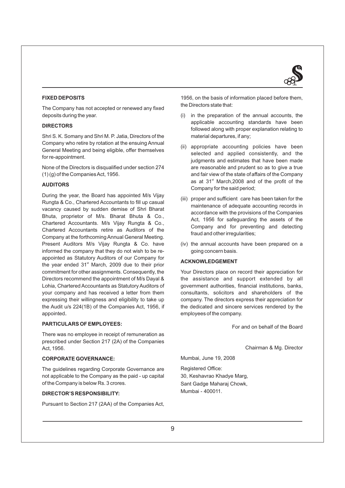

### **FIXED DEPOSITS**

The Company has not accepted or renewed any fixed deposits during the year.

# **DIRECTORS**

Shri S. K. Somany and Shri M. P. Jatia, Directors of the Company who retire by rotation at the ensuing Annual General Meeting and being eligible, offer themselves for re-appointment.

None of the Directors is disqualified under section 274 (1) (g) of the Companies Act, 1956.

#### **AUDITORS**

During the year, the Board has appointed M/s Vijay Rungta & Co., Chartered Accountants to fill up casual vacancy caused by sudden demise of Shri Bharat Bhuta, proprietor of M/s. Bharat Bhuta & Co., Chartered Accountants. M/s Vijay Rungta & Co., Chartered Accountants retire as Auditors of the Company at the forthcoming Annual General Meeting. Present Auditors M/s Vijay Rungta & Co. have informed the company that they do not wish to be reappointed as Statutory Auditors of our Company for the year ended  $31<sup>st</sup>$  March, 2009 due to their prior commitment for other assignments. Consequently, the Directors recommend the appointment of M/s Dayal & Lohia, Chartered Accountants as Statutory Auditors of your company and has received a letter from them expressing their willingness and eligibility to take up the Audit u/s 224(1B) of the Companies Act, 1956, if appointed.

#### **PARTICULARS OF EMPLOYEES:**

There was no employee in receipt of remuneration as prescribed under Section 217 (2A) of the Companies Act, 1956.

# **CORPORATE GOVERNANCE:**

The guidelines regarding Corporate Governance are not applicable to the Company as the paid - up capital of the Company is below Rs. 3 crores.

#### **DIRECTOR'S RESPONSIBILITY:**

Pursuant to Section 217 (2AA) of the Companies Act,

1956, on the basis of information placed before them, the Directors state that:

- (i) in the preparation of the annual accounts, the applicable accounting standards have been followed along with proper explanation relating to material departures, if any;
- (ii) appropriate accounting policies have been selected and applied consistently, and the judgments and estimates that have been made are reasonable and prudent so as to give a true and fair view of the state ofaffairs of the Company as at  $31<sup>st</sup>$  March, 2008 and of the profit of the Company for the said period;
- (iii) proper and sufficient care has been taken for the maintenance of adequate accounting records in accordance with the provisions of the Companies Act, 1956 for safeguarding the assets of the Company and for preventing and detecting fraud and other irregularities;
- (iv) the annual accounts have been prepared on a going concern basis.

#### **ACKNOWLEDGEMENT**

Your Directors place on record their appreciation for the assistance and support extended by all government authorities, financial institutions, banks, consultants, solicitors and shareholders of the company. The directors express their appreciation for the dedicated and sincere services rendered by the employees of the company.

For and on behalf of the Board

Chairman & Mg. Director

Mumbai, June 19, 2008

Registered Office: 30, Keshavrao Khadye Marg, Sant Gadge Maharaj Chowk, Mumbai - 400011.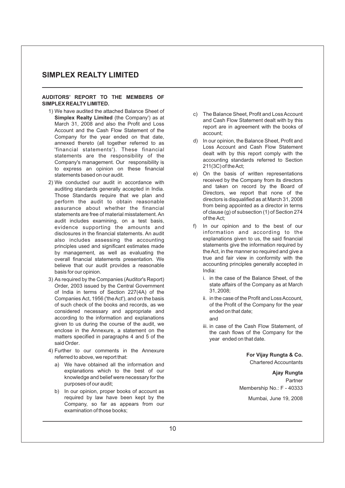# **AUDITORS' REPORT TO THE MEMBERS OF SIMPLEX REALTYLIMITED.**

- 1) We have audited the attached Balance Sheet of **Simplex Realty Limited** (the Company') as at March 31, 2008 and also the Profit and Loss Account and the Cash Flow Statement of the Company for the year ended on that date, annexed thereto (all together referred to as 'financial statements'). These financial statements are the responsibility of the Company's management. Our responsibility is to express an opinion on these financial statements based on our audit.
- 2) We conducted our audit in accordance with auditing standards generally accepted in India. Those Standards require that we plan and perform the audit to obtain reasonable assurance about whether the financial statements are free of material misstatement. An audit includes examining, on a test basis, evidence supporting the amounts and disclosures in the financial statements. An audit also includes assessing the accounting principles used and significant estimates made by management, as well as evaluating the overall financial statements presentation. We believe that our audit provides a reasonable basis for our opinion.
- 3) As required by the Companies (Auditor's Report) Order, 2003 issued by the Central Government of India in terms of Section 227(4A) of the Companies Act, 1956 ('the Act'), and on the basis of such check of the books and records, as we considered necessary and appropriate and according to the information and explanations given to us during the course of the audit, we enclose in the Annexure, a statement on the matters specified in paragraphs 4 and 5 of the said Order.
- 4) Further to our comments in the Annexure referred to above, we report that:
	- a) We have obtained all the information and explanations which to the best of our knowledge and belief were necessary for the purposes of our audit;
	- b) In our opinion, proper books of account as required by law have been kept by the Company, so far as appears from our examination of those books;
- c) The Balance Sheet, Profit and Loss Account and Cash Flow Statement dealt with by this report are in agreement with the books of account;
- d) In our opinion, the Balance Sheet, Profit and Loss Account and Cash Flow Statement dealt with by this report comply with the accounting standards referred to Section 211(3C) of the Act;
- e) On the basis of written representations received by the Company from its directors and taken on record by the Board of Directors, we report that none of the directors is disqualified as at March 31, 2008 from being appointed as a director in terms of clause (g) of subsection (1) of Section 274 of the Act;
- f) In our opinion and to the best of our information and according to the explanations given to us, the said financial statements give the information required by the Act, in the manner so required and give a true and fair view in conformity with the accounting principles generally accepted in India:
	- i. in the case of the Balance Sheet, of the state affairs of the Company as at March 31, 2008;
	- ii. in the case of the Profit and Loss Account, of the Profit of the Company for the year ended on that date;
		- and
	- iii. in case of the Cash Flow Statement, of the cash flows of the Company for the year ended on that date.

 **For Vijay Rungta & Co.** Chartered Accountants

**Ajay Rungta** Partner Membership No.: F - 40333

Mumbai, June 19, 2008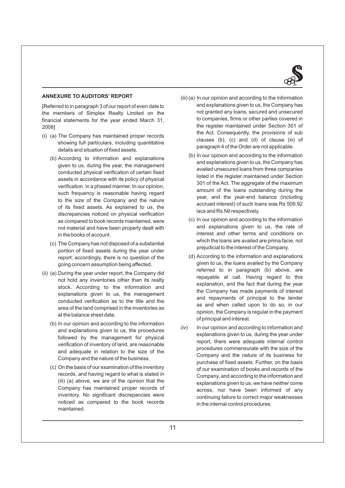

#### **ANNEXURE TO AUDITORS' REPORT**

[Referred to in paragraph 3 of our report of even date to the members of Simplex Realty Limited on the financial statements for the year ended March 31, 2008]

- (i) (a) The Company has maintained proper records showing full particulars, including quantitative details and situation of fixed assets.
	- (b) According to information and explanations given to us, during the year, the management conducted physical verification of certain fixed assets in accordance with its policy of physical verification in a phased manner. In our opinion, such frequency is reasonable having regard to the size of the Company and the nature of its fixed assets. As explained to us, the discrepancies noticed on physical verification as compared to book records maintained, were not material and have been properly dealt with in the books of account.
	- (c) The Company has not disposed of a substantial portion of fixed assets during the year under report; accordingly, there is no question of the going concern assumption being affected.
- (ii) (a) During the year under report, the Company did not hold any inventories other than its realty stock. According to the information and explanations given to us, the management conducted verification as to the title and the area of the land comprised in the inventories as at the balance sheet date.
	- (b) In our opinion and according to the information and explanations given to us, the procedures followed by the management for physical verification of inventory of land, are reasonable and adequate in relation to the size of the Company and the nature of the business.
	- (c) On the basis of our examination of the inventory records, and having regard to what is stated in (iii) (a) above, we are of the opinion that the Company has maintained proper records of inventory. No significant discrepancies were noticed as compared to the book records maintained.
- (iii) (a) In our opinion and according to the information and explanations given to us, the Company has not granted any loans, secured and unsecured to companies, firms or other parties covered in the register maintained under Section 301 of the Act. Consequently, the provisions of sub clauses (b), (c) and (d) of clause (iii) of paragraph 4 of the Order are not applicable.
	- (b) In our opinion and according to the information and explanations given to us, the Company has availed unsecured loans from three companies listed in the register maintained under Section 301 of the Act. The aggregate of the maximum amount of the loans outstanding during the year, and the year-end balance (including accrued interest) of such loans was Rs.509.92 lacs and Rs.Nil respectively.
	- (c) In our opinion and according to the information and explanations given to us, the rate of interest and other terms and conditions on which the loans are availed are prima facie, not prejudicial to the interest of the Company.
	- (d) According to the information and explanations given to us, the loans availed by the Company referred to in paragraph (b) above, are repayable at call. Having regard to this explanation, and the fact that during the year the Company has made payments of interest and repayments of principal to the lender as and when called upon to do so, in our opinion, the Company is regular in the payment of principal and interest.
- (iv) In our opinion and according to information and explanations given to us, during the year under report, there were adequate internal control procedures commensurate with the size of the Company and the nature of its business for purchase of fixed assets. Further, on the basis of our examination of books and records of the Company, and according to the information and explanations given to us, we have neither come across, nor have been informed of any continuing failure to correct major weaknesses in the internal control procedures.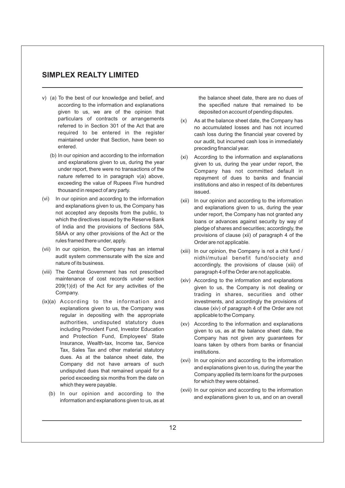- v) (a) To the best of our knowledge and belief, and according to the information and explanations given to us, we are of the opinion that particulars of contracts or arrangements referred to in Section 301 of the Act that are required to be entered in the register maintained under that Section, have been so entered.
	- (b) In our opinion and according to the information and explanations given to us, during the year under report, there were no transactions of the nature referred to in paragraph v(a) above, exceeding the value of Rupees Five hundred thousand in respect of any party.
- (vi) In our opinion and according to the information and explanations given to us, the Company has not accepted any deposits from the public, to which the directives issued by the Reserve Bank of India and the provisions of Sections 58A, 58AA or any other provisions of the Act or the rules framed there under, apply.
- (vii) In our opinion, the Company has an internal audit system commensurate with the size and nature of its business.
- (viii) The Central Government has not prescribed maintenance of cost records under section 209(1)(d) of the Act for any activities of the Company.
- (ix)(a) According to the information and explanations given to us, the Company was regular in depositing with the appropriate authorities, undisputed statutory dues including Provident Fund, Investor Education and Protection Fund, Employees' State Insurance, Wealth-tax, Income tax, Service Tax, Sales Tax and other material statutory dues. As at the balance sheet date, the Company did not have arrears of such undisputed dues that remained unpaid for a period exceeding six months from the date on which they were payable.
	- (b) In our opinion and according to the information and explanations given to us, as at

the balance sheet date, there are no dues of the specified nature that remained to be deposited on account of pending disputes.

- (x) As at the balance sheet date, the Company has no accumulated losses and has not incurred cash loss during the financial year covered by our audit, but incurred cash loss in immediately preceding financial year.
- (xi) According to the information and explanations given to us, during the year under report, the Company has not committed default in repayment of dues to banks and financial institutions and also in respect of its debentures issued.
- (xii) In our opinion and according to the information and explanations given to us, during the year under report, the Company has not granted any loans or advances against security by way of pledge of shares and securities; accordingly, the provisions of clause (xii) of paragraph 4 of the Order are not applicable.
- (xiii) In our opinion, the Company is not a chit fund / nidhi/mutual benefit fund/society and accordingly, the provisions of clause (xiii) of paragraph 4 of the Order are not applicable.
- (xiv) According to the information and explanations given to us, the Company is not dealing or trading in shares, securities and other investments, and accordingly the provisions of clause (xiv) of paragraph 4 of the Order are not applicable to the Company.
- (xv) According to the information and explanations given to us, as at the balance sheet date, the Company has not given any guarantees for loans taken by others from banks or financial institutions.
- (xvi) In our opinion and according to the information and explanations given to us, during the year the Company applied its term loans for the purposes for which they were obtained.
- (xvii) In our opinion and according to the information and explanations given to us, and on an overall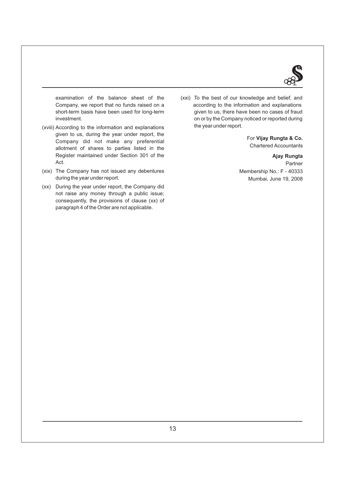

examination of the balance sheet of the Company, we report that no funds raised on a short-term basis have been used for long-term investment.

- (xviii) According to the information and explanations given to us, during the year under report, the Company did not make any preferential allotment of shares to parties listed in the Register maintained under Section 301 of the Act.
- (xix) The Company has not issued any debentures during the year under report.
- (xx) During the year under report, the Company did not raise any money through a public issue; consequently, the provisions of clause (xx) of paragraph 4 of the Order are not applicable.

(xxi) To the best of our knowledge and belief, and according to the information and explanations given to us, there have been no cases of fraud on or by the Company noticed or reported during the year under report.

> For **Vijay Rungta & Co.** Chartered Accountants

**Ajay Rungta** Partner Membership No.: F - 40333 Mumbai, June 19, 2008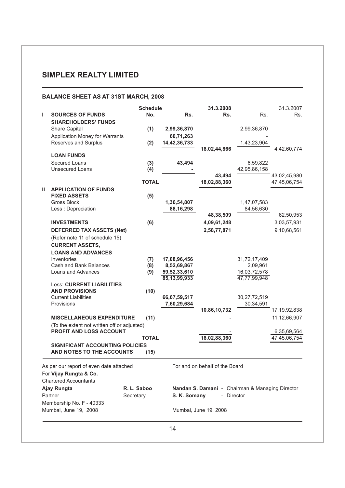# **BALANCE SHEET AS AT 31ST MARCH, 2008**

|   |                                                                        | <b>Schedule</b> |                 | 31.3.2008                                       |              | 31.3.2007                    |
|---|------------------------------------------------------------------------|-----------------|-----------------|-------------------------------------------------|--------------|------------------------------|
| Ш | <b>SOURCES OF FUNDS</b>                                                | No.             | Rs.             | Rs.                                             | Rs.          | Rs.                          |
|   | <b>SHAREHOLDERS' FUNDS</b>                                             |                 |                 |                                                 |              |                              |
|   | <b>Share Capital</b>                                                   | (1)             | 2,99,36,870     |                                                 | 2,99,36,870  |                              |
|   | <b>Application Money for Warrants</b>                                  |                 | 60,71,263       |                                                 |              |                              |
|   | <b>Reserves and Surplus</b>                                            | (2)             | 14,42,36,733    |                                                 | 1,43,23,904  |                              |
|   |                                                                        |                 |                 | 18,02,44,866                                    |              | 4,42,60,774                  |
|   | <b>LOAN FUNDS</b>                                                      |                 |                 |                                                 |              |                              |
|   | <b>Secured Loans</b>                                                   | (3)             | 43,494          |                                                 | 6,59,822     |                              |
|   | <b>Unsecured Loans</b>                                                 | (4)             |                 | 43,494                                          | 42,95,86,158 |                              |
|   |                                                                        | <b>TOTAL</b>    |                 | 18,02,88,360                                    |              | 43,02,45,980<br>47,45,06,754 |
| Ш | <b>APPLICATION OF FUNDS</b>                                            |                 |                 |                                                 |              |                              |
|   | <b>FIXED ASSETS</b>                                                    | (5)             |                 |                                                 |              |                              |
|   | <b>Gross Block</b>                                                     |                 | 1,36,54,807     |                                                 | 1,47,07,583  |                              |
|   | Less: Depreciation                                                     |                 | 88,16,298       |                                                 | 84,56,630    |                              |
|   |                                                                        |                 |                 | 48,38,509                                       |              | 62,50,953                    |
|   | <b>INVESTMENTS</b>                                                     | (6)             |                 | 4,09,61,248                                     |              | 3,03,57,931                  |
|   | <b>DEFERRED TAX ASSETS (Net)</b>                                       |                 |                 | 2,58,77,871                                     |              | 9,10,68,561                  |
|   | (Refer note 11 of schedule 15)                                         |                 |                 |                                                 |              |                              |
|   | <b>CURRENT ASSETS,</b>                                                 |                 |                 |                                                 |              |                              |
|   | <b>LOANS AND ADVANCES</b>                                              |                 |                 |                                                 |              |                              |
|   | Inventories                                                            | (7)             | 17,08,96,456    |                                                 | 31,72,17,409 |                              |
|   | Cash and Bank Balances                                                 | (8)             | 8,52,69,867     |                                                 | 2,09,961     |                              |
|   | Loans and Advances                                                     | (9)             | 59,52,33,610    |                                                 | 16,03,72,578 |                              |
|   |                                                                        |                 | 85, 13, 99, 933 |                                                 | 47,77,99,948 |                              |
|   | <b>Less: CURRENT LIABILITIES</b>                                       |                 |                 |                                                 |              |                              |
|   | <b>AND PROVISIONS</b>                                                  | (10)            |                 |                                                 |              |                              |
|   | <b>Current Liabilities</b>                                             |                 | 66,67,59,517    |                                                 | 30,27,72,519 |                              |
|   | Provisions                                                             |                 | 7,60,29,684     | 10,86,10,732                                    | 30,34,591    |                              |
|   | <b>MISCELLANEOUS EXPENDITURE</b>                                       |                 |                 |                                                 |              | 17, 19, 92, 838              |
|   |                                                                        | (11)            |                 |                                                 |              | 11,12,66,907                 |
|   | (To the extent not written off or adjusted)<br>PROFIT AND LOSS ACCOUNT |                 |                 |                                                 |              |                              |
|   |                                                                        | <b>TOTAL</b>    |                 | 18,02,88,360                                    |              | 6,35,69,564<br>47,45,06,754  |
|   | <b>SIGNIFICANT ACCOUNTING POLICIES</b>                                 |                 |                 |                                                 |              |                              |
|   | AND NOTES TO THE ACCOUNTS                                              | (15)            |                 |                                                 |              |                              |
|   | As per our report of even date attached                                |                 |                 | For and on behalf of the Board                  |              |                              |
|   | For Vijay Rungta & Co.                                                 |                 |                 |                                                 |              |                              |
|   | <b>Chartered Accountants</b>                                           |                 |                 |                                                 |              |                              |
|   | Ajay Rungta                                                            | R. L. Saboo     |                 | Nandan S. Damani - Chairman & Managing Director |              |                              |
|   | Partner                                                                | Secretary       | S. K. Somany    |                                                 | Director     |                              |
|   | Membership No. F - 40333                                               |                 |                 |                                                 |              |                              |
|   | Mumbai, June 19, 2008                                                  |                 |                 | Mumbai, June 19, 2008                           |              |                              |
|   |                                                                        |                 |                 |                                                 |              |                              |
|   |                                                                        |                 | 14              |                                                 |              |                              |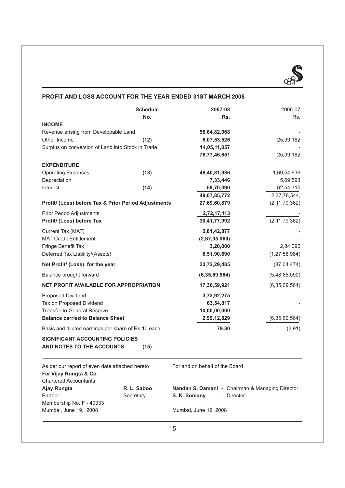

# **PROFIT AND LOSS ACCOUNT FOR THE YEAR ENDED 31ST MARCH 2008**

|                                                                                                          | <b>Schedule</b><br>No.   | 2007-08<br>Rs.                                                                | 2006-07<br>Rs.   |
|----------------------------------------------------------------------------------------------------------|--------------------------|-------------------------------------------------------------------------------|------------------|
| <b>INCOME</b>                                                                                            |                          |                                                                               |                  |
| Revenue arising from Developable Land                                                                    |                          | 56,64,82,068                                                                  |                  |
| Other Income                                                                                             | (12)                     | 6,07,53,526                                                                   | 25,99,182        |
| Surplus on conversion of Land into Stock in Trade                                                        |                          | 14,05,11,057                                                                  |                  |
|                                                                                                          |                          | 76,77,46,651                                                                  | 25,99,182        |
| <b>EXPENDITURE</b>                                                                                       |                          |                                                                               |                  |
| <b>Operating Expenses</b>                                                                                | (13)                     | 48,40,81,936                                                                  | 1,69,54,636      |
| Depreciation                                                                                             |                          | 7,33,446                                                                      | 5,69,593         |
| Interest                                                                                                 | (14)                     | 59,70,390                                                                     | 62,54,315        |
|                                                                                                          |                          | 49,07,85,772                                                                  | 2,37,78,544,     |
| Profit/ (Loss) before Tax & Prior Period Adjustments                                                     |                          | 27,69,60,879                                                                  | (2, 11, 79, 362) |
| <b>Prior Period Adjustments</b>                                                                          |                          | 2,72,17,113                                                                   |                  |
| Profit/ (Loss) before Tax                                                                                |                          | 30,41,77,992                                                                  | (2, 11, 79, 362) |
|                                                                                                          |                          |                                                                               |                  |
| Current Tax (MAT)                                                                                        |                          | 2,81,42,877                                                                   |                  |
| <b>MAT Credit Entitlement</b><br>Fringe Benefit Tax                                                      |                          | (2,67,05,060)                                                                 | 2,84,096         |
| Deferred Tax Liability/(Assets)                                                                          |                          | 3,20,000<br>6,51,90,690                                                       | (1, 27, 58, 984) |
|                                                                                                          |                          |                                                                               |                  |
| Net Profit/ (Loss) for the year                                                                          |                          | 23,72,29,485                                                                  | (87, 04, 474)    |
| Balance brought forward                                                                                  |                          | (6, 35, 69, 564)                                                              | (5,48,65,090)    |
| <b>NET PROFIT AVAILABLE FOR APPROPRIATION</b>                                                            |                          | 17,36,59,921                                                                  | (6, 35, 69, 564) |
| Proposed Dividend                                                                                        |                          | 3,73,92,275                                                                   |                  |
| Tax on Proposed Dividend                                                                                 |                          | 63,54,817                                                                     |                  |
| <b>Transfer to General Reserve</b>                                                                       |                          | 10,00,00,000                                                                  |                  |
| <b>Balance carried to Balance Sheet</b>                                                                  |                          | 2,99,12,829                                                                   | (6, 35, 69, 564) |
| Basic and diluted earnings per share of Rs.10 each                                                       |                          | 79.30                                                                         | (2.91)           |
| <b>SIGNIFICANT ACCOUNTING POLICIES</b>                                                                   |                          |                                                                               |                  |
| AND NOTES TO THE ACCOUNTS                                                                                | (15)                     |                                                                               |                  |
|                                                                                                          |                          |                                                                               |                  |
| As per our report of even date attached hereto<br>For Vijay Rungta & Co.<br><b>Chartered Accountants</b> |                          | For and on behalf of the Board                                                |                  |
| Ajay Rungta<br>Partner                                                                                   | R. L. Saboo<br>Secretary | Nandan S. Damani - Chairman & Managing Director<br>- Director<br>S. K. Somany |                  |
| Membership No. F - 40333<br>Mumbai, June 19, 2008                                                        |                          | Mumbai, June 19, 2008                                                         |                  |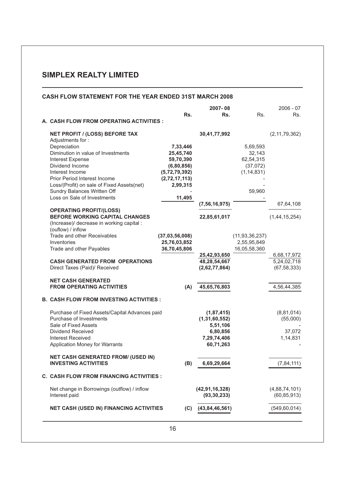# **CASH FLOW STATEMENT FOR THE YEAR ENDED 31ST MARCH 2008** 16 **2007- 08** 2006 - 07 **Rs. Rs.** Rs. Rs. Rs. **A. CASH FLOW FROM OPERATING ACTIVITIES : NET PROFIT / (LOSS) BEFORE TAX 30,41,77,992** (2,11,79,362) Adjustments for : Depreciation **7,33,446** 5,69,593 Diminution in value of Investments **25,45,740** 32,143 Interest Expense **59,70,390** 62,54,315 Dividend Income **(6,80,856)** (37,072) Interest Income **(5,72,79,392)** (1,14,831) Prior Period Interest Income **(2,72,17,113)** Loss/(Profit) on sale of Fixed Assets(net) **2,99,315** - Sundry Balances Written Off **Sundry Balances Written Off 11,495 Loss on Sale of Investments (7,56,16,975)** 67,64,108 **OPERATING PROFIT/(LOSS) BEFORE WORKING CAPITAL CHANGES 22,85,61,017** (1,44,15,254) (Increase)/ decrease in working capital : (ouflow) / inflow Trade and other Receivables **(37,03,56,008)** (11,93,36,237) Inventories **25,76,03,852** 2,55,95,849 Trade and other Payables **36,70,45,806** 16,05,58,360 **25,42,93,650** 6,68,17,972 **CASH GENERATED FROM OPERATIONS** 48,28,54,667 5,24,02,718 Direct Taxes (Paid)/ Received **(2,62,77,864)** (67,58,333) **NET CASH GENERATED FROM OPERATING ACTIVITIES (A) 45,65,76,803** 4,56,44,385 **B. CASH FLOW FROM INVESTING ACTIVITIES :** Purchase of Fixed Assets/Capital Advances paid **(1,87,415)** (8,81,014) Purchase of Investments **(1,31,60,552)** (55,000) Sale of Fixed Assets **5,51,106** - Dividend Received **6,80,856** 37,072 Interest Received **7,29,74,406** 1,14,831 Application Money for Warrants **60,71,263 NET CASH GENERATED FROM/ (USED IN) INVESTING ACTIVITIES (B) 6,69,29,664** (7,84,111) **C. CASH FLOW FROM FINANCING ACTIVITIES :** Net change in Borrowings (outflow) / inflow **(42,91,16,328)** (4,88,74,101)<br>Interest paid **(93,30,233)** (60,85,913) **Interest paid** (93,30,233) **NET CASH (USED IN) FINANCING ACTIVITIES (C) (43,84,46,561)** (549,60,014)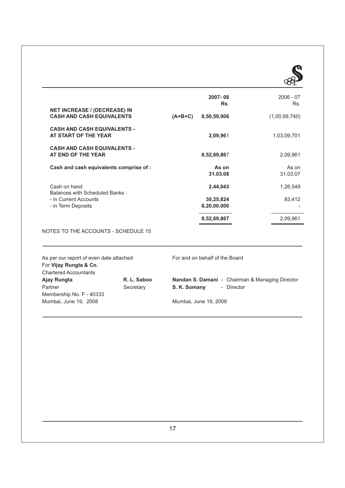

|                                                                         |           | 2007-08<br>Rs.           | $2006 - 07$<br>Rs. |
|-------------------------------------------------------------------------|-----------|--------------------------|--------------------|
| <b>NET INCREASE / (DECREASE) IN</b><br><b>CASH AND CASH EQUIVALENTS</b> | $(A+B+C)$ | 8,50,59,906              | (1,00,99,740)      |
| <b>CASH AND CASH EQUIVALENTS -</b><br>AT START OF THE YEAR              |           | 2,09,961                 | 1,03,09,701        |
| <b>CASH AND CASH EQUIVALENTS -</b><br>AT END OF THE YEAR                |           | 8,52,69,867              | 2,09,961           |
| Cash and cash equivalents comprise of :                                 |           | As on<br>31.03.08        | As on<br>31.03.07  |
| Cash on hand<br><b>Balances with Scheduled Banks:</b>                   |           | 2,44,043                 | 1,26,549           |
| - in Current Accounts<br>- in Term Deposits                             |           | 30,25,824<br>8,20,00,000 | 83,412             |
|                                                                         |           | 8,52,69,867              | 2,09,961           |
| NOTES TO THE ACCOUNTS - SCHEDULE 15                                     |           |                          |                    |

| As per our report of even date attached<br>For Vijay Rungta & Co.<br><b>Chartered Accountants</b> |                          | For and on behalf of the Board                                                |  |
|---------------------------------------------------------------------------------------------------|--------------------------|-------------------------------------------------------------------------------|--|
| Ajay Rungta<br>Partner                                                                            | R. L. Saboo<br>Secretary | Nandan S. Damani - Chairman & Managing Director<br>S. K. Somany<br>- Director |  |
| Membership No. F - 40333<br>Mumbai, June 19, 2008                                                 |                          | Mumbai, June 19, 2008                                                         |  |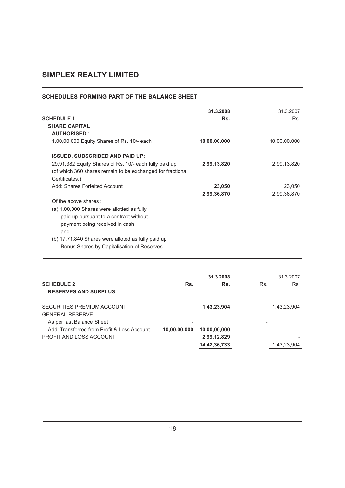# **SCHEDULES FORMING PART OF THE BALANCE SHEET**

|                                                            | 31.3.2008    | 31.3.2007    |
|------------------------------------------------------------|--------------|--------------|
| <b>SCHEDULE 1</b>                                          | Rs.          | Rs.          |
| <b>SHARE CAPITAL</b>                                       |              |              |
| <b>AUTHORISED:</b>                                         |              |              |
| 1,00,00,000 Equity Shares of Rs. 10/- each                 | 10,00,00,000 | 10,00,00,000 |
| <b>ISSUED, SUBSCRIBED AND PAID UP:</b>                     |              |              |
| 29,91,382 Equity Shares of Rs. 10/- each fully paid up     | 2,99,13,820  | 2,99,13,820  |
| (of which 360 shares remain to be exchanged for fractional |              |              |
| Certificates.)                                             |              |              |
| Add: Shares Forfeited Account                              | 23,050       | 23,050       |
|                                                            | 2,99,36,870  | 2,99,36,870  |
| Of the above shares:                                       |              |              |
| (a) 1,00,000 Shares were allotted as fully                 |              |              |
| paid up pursuant to a contract without                     |              |              |
| payment being received in cash                             |              |              |
| and                                                        |              |              |
| (b) 17,71,840 Shares were alloted as fully paid up         |              |              |
| Bonus Shares by Capitalisation of Reserves                 |              |              |
|                                                            |              |              |
|                                                            |              |              |

|                                                                                   |                          | 31.3.2008                   |     | 31.3.2007   |
|-----------------------------------------------------------------------------------|--------------------------|-----------------------------|-----|-------------|
| <b>SCHEDULE 2</b><br><b>RESERVES AND SURPLUS</b>                                  | Rs.                      | Rs.                         | Rs. | Rs.         |
| SECURITIES PREMIUM ACCOUNT<br><b>GENERAL RESERVE</b><br>As per last Balance Sheet | $\overline{\phantom{0}}$ | 1,43,23,904                 |     | 1,43,23,904 |
| Add: Transferred from Profit & Loss Account<br>PROFIT AND LOSS ACCOUNT            | 10,00,00,000             | 10,00,00,000<br>2,99,12,829 |     |             |
|                                                                                   |                          | 14,42,36,733                |     | 1,43,23,904 |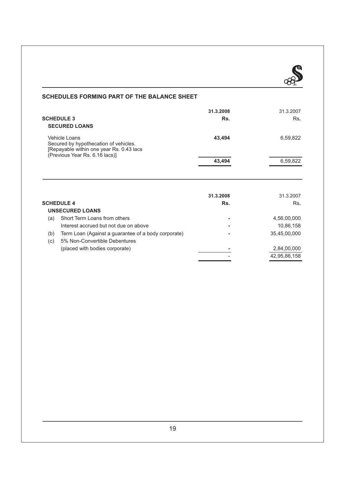

# **SCHEDULES FORMING PART OF THE BALANCE SHEET**

| <b>SCHEDULE 3</b><br><b>SECURED LOANS</b>                                                          | 31.3.2008<br>Rs. | 31.3.2007<br>Rs. |
|----------------------------------------------------------------------------------------------------|------------------|------------------|
| Vehicle Loans<br>Secured by hypothecation of vehicles.<br>[Repayable within one year Rs. 0.43 lacs | 43.494           | 6,59,822         |
| (Previous Year Rs. 6.16 lacs)]                                                                     | 43.494           | 6,59,822         |
|                                                                                                    |                  |                  |

|     |                                                     | 31.3.2008 | 31.3.2007    |
|-----|-----------------------------------------------------|-----------|--------------|
|     | <b>SCHEDULE 4</b>                                   | Rs.       | Rs.          |
|     | <b>UNSECURED LOANS</b>                              |           |              |
| (a) | Short Term Loans from others                        |           | 4,56,00,000  |
|     | Interest accrued but not due on above               |           | 10,86,158    |
| (b) | Term Loan (Against a guarantee of a body corporate) |           | 35,45,00,000 |
| (c) | 5% Non-Convertible Debentures                       |           |              |
|     | (placed with bodies corporate)                      |           | 2,84,00,000  |
|     |                                                     |           | 42,95,86,158 |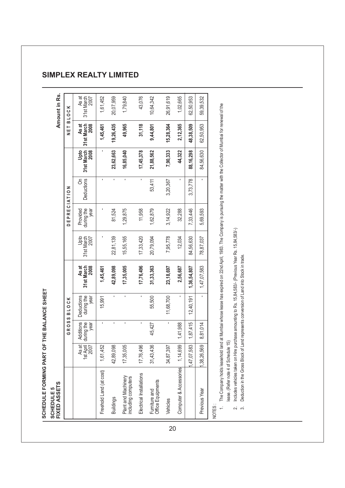| <b>SCHEDULE FORMING PART</b><br>SCHEDULE 5                                                                                                                                                                                            |                            |                                 | OF THE BALANCE SHEET             |                             |                            |                                |                 |                            |                             |                             |
|---------------------------------------------------------------------------------------------------------------------------------------------------------------------------------------------------------------------------------------|----------------------------|---------------------------------|----------------------------------|-----------------------------|----------------------------|--------------------------------|-----------------|----------------------------|-----------------------------|-----------------------------|
| FIXED ASSETS                                                                                                                                                                                                                          |                            |                                 |                                  |                             |                            |                                |                 |                            |                             | Amount in Rs.               |
|                                                                                                                                                                                                                                       |                            | <b>ဟ</b><br>o<br>∝<br>ඏ         | ×<br><b>BLOC</b><br>ဖာ           |                             |                            | ш<br>$\sim$                    | PRECIATION      |                            | NET BLO                     | ×<br>ပ                      |
|                                                                                                                                                                                                                                       | As at<br>1st April<br>2007 | Additions<br>during the<br>year | during the<br>Deductions<br>year | 31st March<br>2008<br>As at | Upto<br>31st March<br>2007 | during the<br>Provided<br>year | Deductions<br>δ | 31st March<br>2008<br>Upto | 2008<br>31st March<br>As at | 31st March<br>2007<br>As at |
| Freehold Land (at cost)                                                                                                                                                                                                               | 452<br>1,61                |                                 | 15,991                           | 1,45,461                    |                            |                                | f.              |                            | 1,45,461                    | 1,61,452                    |
| <b>Buildings</b>                                                                                                                                                                                                                      | 098<br>42,89,              | ï                               | ı                                | 42,89,098                   | 22,81,139                  | 81,524                         | $\blacksquare$  | 23,62,663                  | 19,26,435                   | 20,07,959                   |
| Plant and Machinery<br>including computers                                                                                                                                                                                            | 005<br>17,35,              | ٠                               | ï                                | 17,35,005                   | 15,55,165                  | 1,29,875                       | $\blacksquare$  | 16,85,040                  | 49,965                      | 1,79,840                    |
| Electrical Installations                                                                                                                                                                                                              | 496<br>17,76,              | ı                               | ï                                | 17,76,496                   | 17, 33, 420                | 11,958                         | ı               | 17,45,378                  | 31,118                      | 43,076                      |
| Furniture and<br>Office Equipments                                                                                                                                                                                                    | 436<br>31,43,              | 45,427                          | 55,500                           | 31, 33, 363                 | 20,79,094                  | 1,62,879                       | 53,411          | 21,88,562                  | 9,44,801                    | 10,64,342                   |
| Vehicles                                                                                                                                                                                                                              | 34,87,397                  | ı                               | 11,68,700                        | 23, 18, 697                 | 7,95,778                   | 3,14,922                       | 3,20,367        | 7,90,333                   | 15,28,364                   | 26,91,619                   |
| Computer & Accessories                                                                                                                                                                                                                | 699<br>1, 14,              | 1,41,988                        | ı                                | 2,56,687                    | 12,034                     | 32,288                         | ı               | 44,322                     | 2,12,365                    | 1,02,665                    |
|                                                                                                                                                                                                                                       | 583<br>,47,07,             | 1,87,415                        | 12,40,191                        | 1,36,54,807                 | 84,56,630                  | 7,33,446                       | 3,73,778        | 88,16,298                  | 48,38,509                   | 62,50,953                   |
| Previous Year                                                                                                                                                                                                                         | 569<br>,38,26,             | 8,81,014                        | r.                               | 1,47,07,583                 | 78,87,037                  | 5,69,593                       |                 | 84,56,630                  | 62,50,953                   | 59,39,532                   |
| 1. The Company holds leasehold land at Mumbai whose lease has expired on 22nd April, 1983. The Company is pursuing the matter with the Collector of Mumbai for renewal of the<br>lease. (Refer note 4 of Schedule 15)<br><b>NOTES</b> |                            |                                 |                                  |                             |                            |                                |                 |                            |                             |                             |
| Includes vehicles taken on Hire purchase amounting to Rs. 15,84,583/- (Previous Year Rs. 15,84,583/-)<br>$\overline{\mathcal{N}}$                                                                                                     |                            |                                 |                                  |                             |                            |                                |                 |                            |                             |                             |

20

# **SIMPLEX REALTY LIMITED**

Deduction in the Gross Block of Land represents conversion of Land into Stock in trade. 3. Deduction in the Gross Block of Land represents conversion of Land into Stock in trade.  $\ddot{\circ}$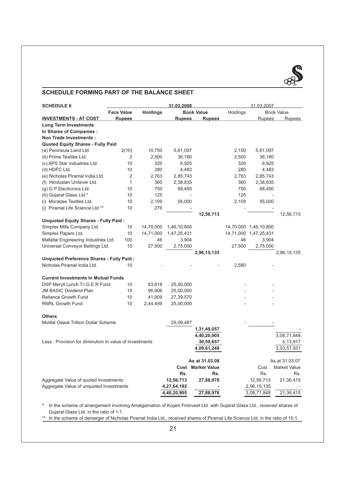

# **SCHEDULE FORMING PART OF THE BALANCE SHEET**

| <b>SCHEDULE 6</b>                                      |                   |                 | 31.03.2008    |                          |          | 31.03.2007            |                     |
|--------------------------------------------------------|-------------------|-----------------|---------------|--------------------------|----------|-----------------------|---------------------|
|                                                        | <b>Face Value</b> | <b>Holdings</b> |               | <b>Book Value</b>        | Holdings |                       | <b>Book Value</b>   |
| <b>INVESTMENTS - AT COST</b>                           | <b>Rupees</b>     |                 | <b>Rupees</b> | <b>Rupees</b>            |          | <b>Rupees</b>         | <b>Rupees</b>       |
| <b>Long Term Investments</b>                           |                   |                 |               |                          |          |                       |                     |
| In Shares of Companies :                               |                   |                 |               |                          |          |                       |                     |
| <b>Non Trade Investments:</b>                          |                   |                 |               |                          |          |                       |                     |
| <b>Quoted Equity Shares - Fully Paid</b>               |                   |                 |               |                          |          |                       |                     |
| (a) Peninsula Land Ltd.                                | 2(10)             | 10,750          | 5,61,097      |                          | 2,150    | 5,61,097              |                     |
| (b) Prime Textiles Ltd.                                | $\overline{2}$    | 2,500           | 36,180        |                          | 2,500    | 36,180                |                     |
| (c) APS Star Industries Ltd.                           | 10                | 320             | 6,925         |                          | 320      | 6,925                 |                     |
| (d) HDFC Ltd.                                          | 10                | 280             | 4,483         |                          | 280      | 4,483                 |                     |
| (e) Nicholas Piramal India Ltd.                        | $\overline{2}$    | 2,763           | 2,85,743      |                          | 2,763    | 2,85,743              |                     |
| (f) Hindustan Unilever Ltd.                            | $\mathbf{1}$      | 360             | 2,38,835      |                          | 360      | 2,38,835              |                     |
| (g) G P Electronics Ltd.                               | 10                | 750             | 68,450        |                          | 750      | 68,450                |                     |
| (h) Gujarat Glass Ltd.*                                | 10                | 125             |               |                          | 125      |                       |                     |
| (i) Morarjee Textiles Ltd.                             | 10                | 2,109           | 55,000        |                          | 2,109    | 55,000                |                     |
| (i) Piramal Life Science Ltd.**                        | 10                | 276             |               |                          |          |                       |                     |
|                                                        |                   |                 |               | 12,56,713                |          |                       | 12,56,713           |
| <b>Unquoted Equity Shares - Fully Paid:</b>            |                   |                 |               |                          |          |                       |                     |
| Simplex Mills Company Ltd.                             | 10                | 14,70,000       | 1,46,10,800   |                          |          | 14,70,000 1,46,10,800 |                     |
| Simplex Papers Ltd.                                    | 10                | 14,71,000       | 1,47,25,431   |                          |          | 14,71,000 1,47,25,431 |                     |
| Mafatlal Engineering Industries Ltd.                   | 100               | 46              | 3,904         |                          | 46       | 3,904                 |                     |
| Universal Conveyor Beltings Ltd.                       | 10                | 27,500          | 2,75,000      |                          | 27,500   | 2,75,000              |                     |
|                                                        |                   |                 |               | 2,96,15,135              |          |                       | 2,96,15,135         |
| Unquoted Preference Shares - Fully Paid:               |                   |                 |               |                          |          |                       |                     |
| Nicholas Piramal India Ltd.                            | 10                |                 |               |                          | 2,580    |                       |                     |
|                                                        |                   |                 |               |                          |          |                       |                     |
| <b>Current Investments In Mutual Funds</b>             |                   |                 |               |                          |          |                       |                     |
| DSP Meryll Lynch T.I.G.E.R Fund                        | 10                | 83,618          | 25,00,000     |                          |          |                       |                     |
| <b>JM BASIC Dividend Plan</b>                          | 10                | 96,906          | 25,00,000     |                          |          |                       |                     |
| <b>Reliance Growth Fund</b>                            | 10                | 41,909          | 27,39,570     |                          |          |                       |                     |
| <b>RNRL Growth Fund</b>                                | 10                | 2,44,499        | 25,00,000     |                          |          |                       |                     |
|                                                        |                   |                 |               |                          |          |                       |                     |
| <b>Others</b>                                          |                   |                 |               |                          |          |                       |                     |
| Motilal Oswal Trillion Dollar Scheme                   |                   |                 | 29,09,487     |                          |          |                       |                     |
|                                                        |                   |                 |               | 1,31,49,057              |          |                       |                     |
|                                                        |                   |                 |               | 4,40,20,905              |          |                       | 3,08,71,848         |
| Less: Provision for diminution in value of Investments |                   |                 |               | 30,59,657                |          |                       | 5, 13, 917          |
|                                                        |                   |                 |               | 4,09,61,248              |          |                       | 3,03,57,931         |
|                                                        |                   |                 |               | As at 31.03.08           |          |                       | As at 31.03.07      |
|                                                        |                   |                 |               | <b>Cost Market Value</b> |          | Cost                  | <b>Market Value</b> |
|                                                        |                   |                 | Rs.           | Rs.                      |          | Rs.                   | Rs.                 |
| Aggregate Value of quoted Investments                  |                   |                 | 12,56,713     | 27,88,978                |          | 12,56,713             | 21,36,415           |
| Aggregate Value of unquoted Investments                |                   |                 | 4,27,64,192   |                          |          | 2,96,15,135           |                     |
|                                                        |                   |                 | 4,40,20,905   | 27,88,978                |          | 3,08,71,848           | 21,36,415           |
|                                                        |                   |                 |               |                          |          |                       |                     |

**\*** In the scheme of arrangement involving Amalgamation of Kojam Fininvest Ltd. with Gujarat Glass Ltd., received shares of Gujarat Glass Ltd. in the ratio of 1:1.

\*\* In the scheme of demerger of Nicholas Piramal India Ltd., received shares of Piramal Life Science Ltd. in the ratio of 10:1.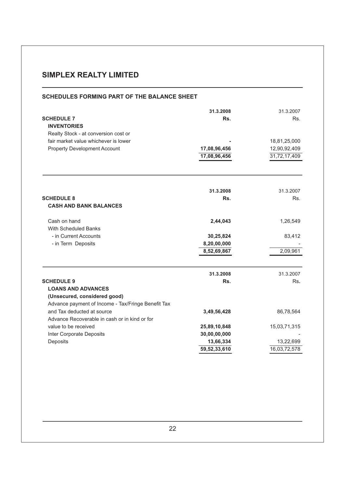# **SCHEDULES FORMING PART OF THE BALANCE SHEET**

| <b>SCHEDULE 7</b><br><b>INVENTORIES</b><br>Realty Stock - at conversion cost or<br>fair market value whichever is lower<br><b>Property Development Account</b> | 31.3.2008<br>Rs.<br>17,08,96,456<br>17,08,96,456 | 31.3.2007<br>Rs.<br>18,81,25,000<br>12,90,92,409<br>31,72,17,409 |
|----------------------------------------------------------------------------------------------------------------------------------------------------------------|--------------------------------------------------|------------------------------------------------------------------|
|                                                                                                                                                                | 31.3.2008                                        | 31.3.2007                                                        |
| <b>SCHEDULE 8</b>                                                                                                                                              | Rs.                                              | Rs.                                                              |
| <b>CASH AND BANK BALANCES</b>                                                                                                                                  |                                                  |                                                                  |
|                                                                                                                                                                |                                                  |                                                                  |
| Cash on hand                                                                                                                                                   | 2,44,043                                         | 1,26,549                                                         |
| <b>With Scheduled Banks</b>                                                                                                                                    |                                                  |                                                                  |
| - in Current Accounts                                                                                                                                          | 30,25,824                                        | 83,412                                                           |
| - in Term Deposits                                                                                                                                             | 8,20,00,000                                      |                                                                  |
|                                                                                                                                                                | 8,52,69,867                                      | 2,09,961                                                         |
|                                                                                                                                                                |                                                  |                                                                  |
|                                                                                                                                                                | 31.3.2008                                        | 31.3.2007                                                        |
| <b>SCHEDULE 9</b>                                                                                                                                              | Rs.                                              | Rs.                                                              |
| <b>LOANS AND ADVANCES</b>                                                                                                                                      |                                                  |                                                                  |
| (Unsecured, considered good)                                                                                                                                   |                                                  |                                                                  |
| Advance payment of Income - Tax/Fringe Benefit Tax                                                                                                             |                                                  |                                                                  |
| and Tax deducted at source                                                                                                                                     | 3,49,56,428                                      | 86,78,564                                                        |
| Advance Recoverable in cash or in kind or for                                                                                                                  |                                                  |                                                                  |
| value to be received                                                                                                                                           | 25,89,10,848                                     | 15,03,71,315                                                     |
| Inter Corporate Deposits                                                                                                                                       | 30,00,00,000                                     |                                                                  |
| Deposits                                                                                                                                                       | 13,66,334                                        | 13,22,699                                                        |
|                                                                                                                                                                | 59,52,33,610                                     | 16,03,72,578                                                     |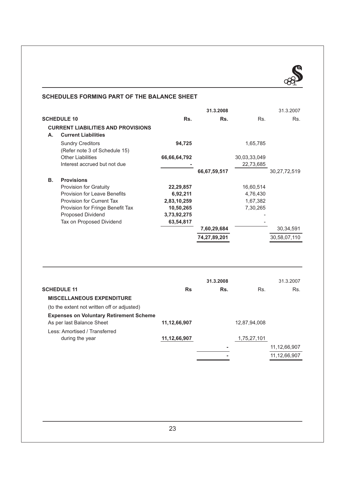

# **SCHEDULES FORMING PART OF THE BALANCE SHEET**

|           |                                                                         |              | 31.3.2008    |              | 31.3.2007    |
|-----------|-------------------------------------------------------------------------|--------------|--------------|--------------|--------------|
|           | <b>SCHEDULE 10</b>                                                      | Rs.          | Rs.          | Rs.          | Rs.          |
| А.        | <b>CURRENT LIABILITIES AND PROVISIONS</b><br><b>Current Liabilities</b> |              |              |              |              |
|           | <b>Sundry Creditors</b><br>(Refer note 3 of Schedule 15)                | 94,725       |              | 1,65,785     |              |
|           | <b>Other Liabilities</b>                                                | 66,66,64,792 |              | 30,03,33,049 |              |
|           | Interest accrued but not due                                            |              |              | 22,73,685    |              |
|           |                                                                         |              | 66,67,59,517 |              | 30,27,72,519 |
| <b>B.</b> | <b>Provisions</b>                                                       |              |              |              |              |
|           | Provision for Gratuity                                                  | 22,29,857    |              | 16,60,514    |              |
|           | <b>Provision for Leave Benefits</b>                                     | 6,92,211     |              | 4,76,430     |              |
|           | Provision for Current Tax                                               | 2,83,10,259  |              | 1,67,382     |              |
|           | Provision for Fringe Benefit Tax                                        | 10,50,265    |              | 7,30,265     |              |
|           | Proposed Dividend                                                       | 3,73,92,275  |              |              |              |
|           | Tax on Proposed Dividend                                                | 63,54,817    |              |              |              |
|           |                                                                         |              | 7,60,29,684  |              | 30,34,591    |
|           |                                                                         |              | 74,27,89,201 |              | 30,58,07,110 |
|           |                                                                         |              |              |              |              |
|           |                                                                         |              |              |              |              |
|           |                                                                         |              |              |              |              |
|           |                                                                         |              |              |              |              |
|           |                                                                         |              | 31.3.2008    |              | 31.3.2007    |

| <b>SCHEDULE 11</b>                                                          | <b>Rs</b>       | Rs. | Rs.          | Rs.             |
|-----------------------------------------------------------------------------|-----------------|-----|--------------|-----------------|
| <b>MISCELLANEOUS EXPENDITURE</b>                                            |                 |     |              |                 |
| (to the extent not written off or adjusted)                                 |                 |     |              |                 |
| <b>Expenses on Voluntary Retirement Scheme</b><br>As per last Balance Sheet | 11,12,66,907    |     | 12,87,94,008 |                 |
| Less: Amortised / Transferred<br>during the year                            | 11, 12, 66, 907 |     | 1,75,27,101  |                 |
|                                                                             |                 | ۰   |              | 11, 12, 66, 907 |
|                                                                             |                 | ۰   |              | 11,12,66,907    |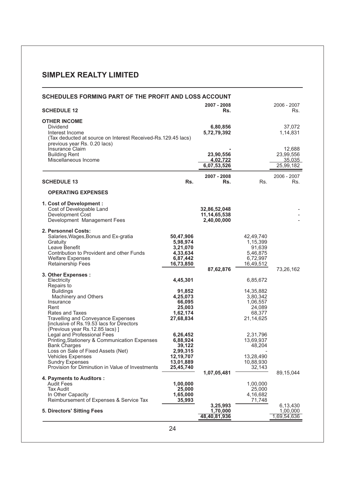| SCHEDULES FORMING PART OF THE PROFIT AND LOSS ACCOUNT                                                                                                                                                                                                                                                                                                                                                                                                                                                                   |                                                                                                                                                                  |                                                |                                                                                                                                                         |                                            |
|-------------------------------------------------------------------------------------------------------------------------------------------------------------------------------------------------------------------------------------------------------------------------------------------------------------------------------------------------------------------------------------------------------------------------------------------------------------------------------------------------------------------------|------------------------------------------------------------------------------------------------------------------------------------------------------------------|------------------------------------------------|---------------------------------------------------------------------------------------------------------------------------------------------------------|--------------------------------------------|
| <b>SCHEDULE 12</b>                                                                                                                                                                                                                                                                                                                                                                                                                                                                                                      |                                                                                                                                                                  | 2007 - 2008<br>Rs.                             |                                                                                                                                                         | 2006 - 2007<br>Rs.                         |
| <b>OTHER INCOME</b><br>Dividend<br>Interest Income<br>(Tax deducted at source on Interest Received-Rs.129.45 lacs)<br>previous year Rs. 0.20 lacs)                                                                                                                                                                                                                                                                                                                                                                      |                                                                                                                                                                  | 6,80,856<br>5,72,79,392                        |                                                                                                                                                         | 37,072<br>1,14,831                         |
| Insurance Claim<br><b>Building Rent</b><br>Miscellaneous Income                                                                                                                                                                                                                                                                                                                                                                                                                                                         |                                                                                                                                                                  | 23,90,556<br>4,02,722<br>6,07,53,526           |                                                                                                                                                         | 12,688<br>23,99,556<br>35,035<br>25,99,182 |
| <b>SCHEDULE 13</b>                                                                                                                                                                                                                                                                                                                                                                                                                                                                                                      | Rs.                                                                                                                                                              | 2007 - 2008<br>Rs.                             | Rs.                                                                                                                                                     | 2006 - 2007<br>Rs.                         |
| <b>OPERATING EXPENSES</b>                                                                                                                                                                                                                                                                                                                                                                                                                                                                                               |                                                                                                                                                                  |                                                |                                                                                                                                                         |                                            |
| 1. Cost of Development :<br>Cost of Developable Land<br>Development Cost<br>Development Management Fees                                                                                                                                                                                                                                                                                                                                                                                                                 |                                                                                                                                                                  | 32,86,52,048<br>11, 14, 65, 538<br>2,40,00,000 |                                                                                                                                                         |                                            |
| 2. Personnel Costs:<br>Salaries, Wages, Bonus and Ex-gratia<br>Gratuity<br>Leave Benefit<br>Contribution to Provident and other Funds<br><b>Welfare Expenses</b><br><b>Retainership Fees</b>                                                                                                                                                                                                                                                                                                                            | 50,47,906<br>5,98,974<br>3,21,070<br>4,33,634<br>6,87,442<br>16,73,850                                                                                           |                                                | 42,49,740<br>1,15,399<br>91,639<br>5,46,875<br>6,72,997<br>16,49,512                                                                                    |                                            |
| 3. Other Expenses :<br>Electricity<br>Repairs to<br><b>Buildings</b><br>Machinery and Others<br>Insurance<br>Rent<br>Rates and Taxes<br><b>Travelling and Conveyance Expenses</b><br>[inclusive of Rs.19.53 lacs for Directors<br>(Previous year Rs.12.85 lacs)]<br>Legal and Professional Fees<br>Printing, Stationery & Communication Expenses<br><b>Bank Charges</b><br>Loss on Sale of Fixed Assets (Net)<br><b>Vehicles Expenses</b><br><b>Sundry Expenses</b><br>Provision for Diminution in Value of Investments | 4,45,301<br>91,852<br>4,25,073<br>66,095<br>25,003<br>1,62,174<br>27,68,834<br>6,26,452<br>6,88,924<br>39,122<br>2,99,315<br>12,19,707<br>13,01,889<br>25,45,740 | 87,62,876<br>1,07,05,481                       | 6,85,672<br>14,35,882<br>3,80,342<br>1,06,557<br>24,089<br>68,377<br>21, 14, 625<br>2,31,796<br>13,69,937<br>48,204<br>13,28,490<br>10,88,930<br>32,143 | 73,26,162<br>89,15,044                     |
| 4. Payments to Auditors :<br><b>Audit Fees</b><br><b>Tax Audit</b><br>In Other Capacity<br>Reimbursement of Expenses & Service Tax                                                                                                                                                                                                                                                                                                                                                                                      | 1,00,000<br>25,000<br>1,65,000<br>35,993                                                                                                                         |                                                | 1,00,000<br>25,000<br>4,16,682<br>71,748                                                                                                                |                                            |
| 5. Directors' Sitting Fees                                                                                                                                                                                                                                                                                                                                                                                                                                                                                              |                                                                                                                                                                  | 3,25,993<br>1,70,000<br>48,40,81,936           |                                                                                                                                                         | 6,13,430<br>1,00,000<br>1,69,54,636        |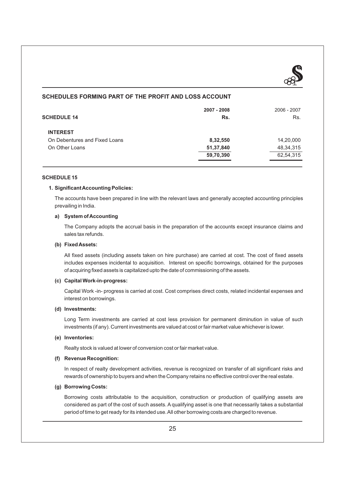

# **SCHEDULES FORMING PART OF THE PROFIT AND LOSS ACCOUNT**

| <b>SCHEDULE 14</b>            | 2007 - 2008<br>Rs. | 2006 - 2007<br>Rs. |
|-------------------------------|--------------------|--------------------|
| <b>INTEREST</b>               |                    |                    |
| On Debentures and Fixed Loans | 8,32,550           | 14,20,000          |
| On Other Loans                | 51,37,840          | 48,34,315          |
|                               | 59,70,390          | 62,54,315          |
|                               |                    |                    |

#### **SCHEDULE 15**

#### **1. Significant Accounting Policies:**

The accounts have been prepared in line with the relevant laws and generally accepted accounting principles prevailing in India.

#### **a) System of Accounting**

The Company adopts the accrual basis in the preparation of the accounts except insurance claims and sales tax refunds.

# **(b) Fixed Assets:**

All fixed assets (including assets taken on hire purchase) are carried at cost. The cost of fixed assets includes expenses incidental to acquisition. Interest on specific borrowings, obtained for the purposes of acquiring fixed assets is capitalized upto the date of commissioning of the assets.

#### **(c) Capital Work-in-progress:**

Capital Work -in- progress is carried at cost. Cost comprises direct costs, related incidental expenses and interest on borrowings.

#### **(d) Investments:**

Long Term investments are carried at cost less provision for permanent diminution in value of such investments (if any). Current investments are valued at cost or fair market value whichever is lower.

#### **(e) Inventories:**

Realty stock is valued at lower of conversion cost or fair market value.

#### **(f) Revenue Recognition:**

In respect of realty development activities, revenue is recognized on transfer of all significant risks and rewards of ownership to buyers and when the Company retains no effective control over the real estate.

#### **(g) Borrowing Costs:**

Borrowing costs attributable to the acquisition, construction or production of qualifying assets are considered as part of the cost of such assets. Aqualifying asset is one that necessarily takes a substantial period of time to get ready for its intended use. All other borrowing costs are charged to revenue.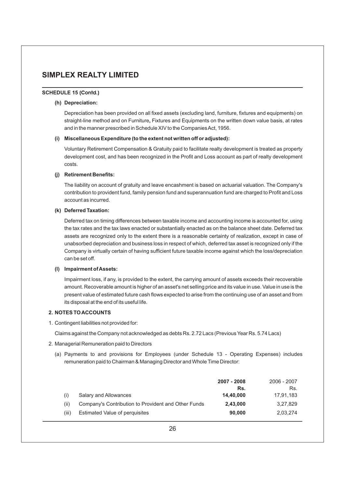### **SCHEDULE 15 (Contd.)**

#### **(h) Depreciation:**

Depreciation has been provided on all fixed assets (excluding land, furniture, fixtures and equipments) on straight-line method and on Furniture**,** Fixtures and Equipments on the written down value basis, at rates and in the manner prescribed in Schedule XIV to the Companies Act, 1956.

#### **(i) Miscellaneous Expenditure (to the extent not written off or adjusted):**

Voluntary Retirement Compensation & Gratuity paid to facilitate realty development is treated as property development cost, and has been recognized in the Profit and Loss account as part of realty development costs.

#### **(j) Retirement Benefits:**

The liability on account of gratuity and leave encashment is based on actuarial valuation. The Company's contribution to provident fund, family pension fund and superannuation fund are charged to Profit and Loss account as incurred.

#### **(k) Deferred Taxation:**

Deferred tax on timing differences between taxable income and accounting income is accounted for, using the tax rates and the tax laws enacted or substantially enacted as on the balance sheet date. Deferred tax assets are recognized only to the extent there is a reasonable certainty of realization, except in case of unabsorbed depreciation and business loss in respect of which, deferred tax asset is recognized only if the Company is virtually certain of having sufficient future taxable income against which the loss/depreciation can be set off.

# **(l) Impairment of Assets:**

Impairment loss, if any, is provided to the extent, the carrying amount of assets exceeds their recoverable amount. Recoverable amount is higher of an asset's net selling price and its value in use. Value in use is the present value of estimated future cash flows expected to arise from the continuing use of an asset and from its disposal at the end of its useful life.

# **2. NOTES TO ACCOUNTS**

1. Contingent liabilities not provided for:

Claims against the Company not acknowledged as debts Rs. 2.72 Lacs (Previous Year Rs. 5.74 Lacs)

- 2. Managerial Remuneration paid to Directors
	- (a) Payments to and provisions for Employees (under Schedule 13 Operating Expenses) includes remuneration paid to Chairman & Managing Director and Whole Time Director:

|       |                                                     | 2007 - 2008 | 2006 - 2007 |
|-------|-----------------------------------------------------|-------------|-------------|
|       |                                                     | Rs.         | Rs.         |
| (i)   | Salary and Allowances                               | 14.40.000   | 17.91.183   |
| (ii)  | Company's Contribution to Provident and Other Funds | 2.43.000    | 3.27.829    |
| (iii) | Estimated Value of perquisites                      | 90,000      | 2.03.274    |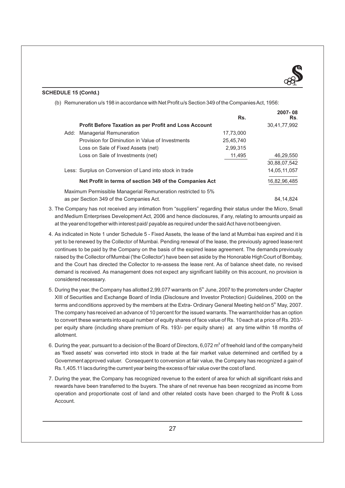

# **SCHEDULE 15 (Contd.)**

(b) Remuneration u/s 198 in accordance with Net Profit u/s Section 349 of the Companies Act, 1956:

|                                                              | Rs.       | $2007 - 08$<br>Rs. |
|--------------------------------------------------------------|-----------|--------------------|
| <b>Profit Before Taxation as per Profit and Loss Account</b> |           | 30,41,77,992       |
| Add: Managerial Remuneration                                 | 17,73,000 |                    |
| Provision for Diminution in Value of Investments             | 25,45,740 |                    |
| Loss on Sale of Fixed Assets (net)                           | 2,99,315  |                    |
| Loss on Sale of Investments (net)                            | 11,495    | 46,29,550          |
|                                                              |           | 30,88,07,542       |
| Less: Surplus on Conversion of Land into stock in trade      |           | 14,05,11,057       |
| Net Profit in terms of section 349 of the Companies Act      |           | 16,82,96,485       |
| Maximum Permissible Managerial Remuneration restricted to 5% |           |                    |
| as per Section 349 of the Companies Act.                     |           | 84.14.824          |

- 3. The Company has not received any intimation from "suppliers" regarding their status under the Micro, Small and Medium Enterprises Development Act, 2006 and hence disclosures, if any, relating to amounts unpaid as at the yearend together with interest paid/ payable as required under the said Act have not beengiven.
- 4. As indicated in Note 1 under Schedule 5 Fixed Assets, the lease of the land at Mumbai has expired and it is yet to be renewed by the Collector of Mumbai. Pending renewal of the lease, the previously agreed lease rent continues to be paid by the Company on the basis of the expired lease agreement. The demands previously raised by the Collector ofMumbai ('the Collector') have been set aside by the Honorable HighCourt of Bombay, and the Court has directed the Collector to re-assess the lease rent. As of balance sheet date, no revised demand is received. As management does not expect any significant liability on this account, no provision is considered necessary.
- 5. During the year, the Company has allotted 2,99,077 warrants on 5<sup>th</sup> June, 2007 to the promoters under Chapter XIII of Securities and Exchange Board of India (Disclosure and Investor Protection) Guidelines, 2000 on the terms and conditions approved by the members at the Extra- Ordinary General Meeting held on 5<sup>th</sup> May, 2007. The company hasreceived an advance of 10 percent for the issued warrants. The warrantholder has an option to convert these warrantsinto equal number of equity shares of face value of Rs. 10each at a price of Rs. 203/ per equity share (including share premium of Rs. 193/- per equity share) at any time within 18 months of allotment.
- 6. During the year, pursuant to a decision of the Board of Directors, 6,072 m<sup>2</sup> of freehold land of the companyheld as 'fixed assets' was converted into stock in trade at the fair market value determined and certified by a Governmentapproved valuer. Consequent to conversion at fair value, the Company has recognized a gainof Rs.1,405.11 lacsduring the current year being the excess of fair value over the cost of land.
- 7. During the year, the Company has recognized revenue to the extent of area for which all significant risks and rewards have been transferred to the buyers. The share of net revenue has been recognized as income from operation and proportionate cost of land and other related costs have been charged to the Profit & Loss Account.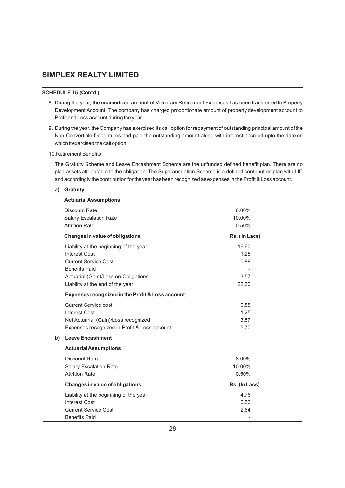# **SCHEDULE 15 (Contd.)**

- 8. During the year, the unamortized amount of Voluntary Retirement Expenses has been transferred to Property Development Account. The company has charged proportionate amount of property development account to Profit and Loss account during the year.
- 9. During the year, the Company has exercised its call option for repayment of outstanding principal amount ofthe Non Convertible Debentures and paid the outstanding amount along with interest accrued upto the date on which itexercised the call option

# 10.Retirement Benefits

The Gratuity Scheme and Leave Encashment Scheme are the unfunded defined benefit plan. There are no plan assets attributable to the obligation. The Superannuation Scheme is a defined contribution plan with LIC and accordingly the contribution for theyear hasbeen recognized as expenses in the Profit & Loss account.

#### **a) Gratuity**

|    | <b>Actuarial Assumptions</b>                                                                                                                                                                      |                                        |  |
|----|---------------------------------------------------------------------------------------------------------------------------------------------------------------------------------------------------|----------------------------------------|--|
|    | Discount Rate<br><b>Salary Escalation Rate</b><br><b>Attrition Rate</b>                                                                                                                           | 8.00%<br>10.00%<br>0.50%               |  |
|    | Changes in value of obligations                                                                                                                                                                   | Rs. (In Lacs)                          |  |
|    | Liability at the beginning of the year<br><b>Interest Cost</b><br><b>Current Service Cost</b><br><b>Benefits Paid</b><br>Actuarial (Gain)/Loss on Obligations<br>Liability at the end of the year | 16.60<br>1.25<br>0.88<br>3.57<br>22.30 |  |
|    | Expenses recognized in the Profit & Loss account                                                                                                                                                  |                                        |  |
|    | <b>Current Service cost</b><br><b>Interest Cost</b><br>Net Actuarial (Gain)/Loss recognized<br>Expenses recognized in Profit & Loss account                                                       | 0.88<br>1.25<br>3.57<br>5.70           |  |
| b) | <b>Leave Encashment</b>                                                                                                                                                                           |                                        |  |
|    | <b>Actuarial Assumptions</b>                                                                                                                                                                      |                                        |  |
|    | Discount Rate<br><b>Salary Escalation Rate</b><br><b>Attrition Rate</b>                                                                                                                           | 8.00%<br>10.00%<br>0.50%               |  |
|    | Changes in value of obligations                                                                                                                                                                   | Rs. (In Lacs)                          |  |
|    | Liability at the beginning of the year<br><b>Interest Cost</b><br><b>Current Service Cost</b><br><b>Benefits Paid</b>                                                                             | 4.76<br>0.36<br>2.64                   |  |
|    |                                                                                                                                                                                                   |                                        |  |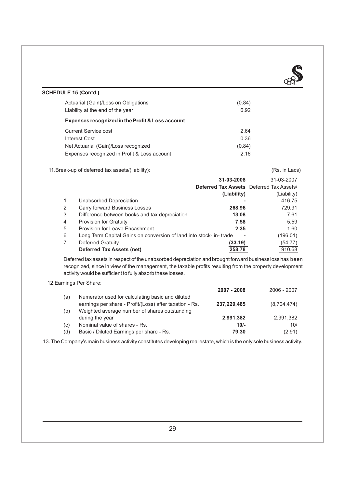

| <b>SCHEDULE 15 (Contd.)</b>                                 |        |
|-------------------------------------------------------------|--------|
| Actuarial (Gain)/Loss on Obligations                        | (0.84) |
| Liability at the end of the year                            | 6.92   |
| <b>Expenses recognized in the Profit &amp; Loss account</b> |        |
| Current Service cost                                        | 2.64   |
| Interest Cost                                               | 0.36   |
| Net Actuarial (Gain)/Loss recognized                        | (0.84) |
| Expenses recognized in Profit & Loss account                | 2.16   |

11. Break-up of deferred tax assets/(liability): (Rs. in Lacs)

|                |                                                                    | 31-03-2008                                      | 31-03-2007  |
|----------------|--------------------------------------------------------------------|-------------------------------------------------|-------------|
|                |                                                                    | <b>Deferred Tax Assets</b> Deferred Tax Assets/ |             |
|                |                                                                    | (Liability)                                     | (Liability) |
| $\mathbf 1$    | Unabsorbed Depreciation                                            |                                                 | 416.75      |
| 2              | Carry forward Business Losses                                      | 268.96                                          | 729.91      |
| 3              | Difference between books and tax depreciation                      | 13.08                                           | 7.61        |
| $\overline{4}$ | <b>Provision for Gratuity</b>                                      | 7.58                                            | 5.59        |
| 5              | <b>Provision for Leave Encashment</b>                              | 2.35                                            | 1.60        |
| 6              | Long Term Capital Gains on conversion of land into stock- in-trade |                                                 | (196.01)    |
| 7              | <b>Deferred Gratuity</b>                                           | (33.19)                                         | (54.77)     |
|                | <b>Deferred Tax Assets (net)</b>                                   | 258.78                                          | 910.68      |

Deferred tax assets in respect of the unabsorbed depreciation and brought forward business loss has been recognized, since in view of the management, the taxable profits resulting from the property development activity would be sufficient to fully absorb these losses.

# 12.Earnings Per Share:

| 2006 - 2007 |
|-------------|
|             |
| (8,704,474) |
|             |
| 2,991,382   |
| 10/         |
| (2.91)      |
|             |

13. The Company's main business activity constitutes developing real estate, which is the only sole business activity.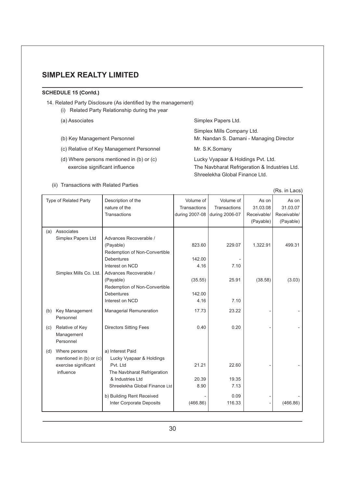# **SCHEDULE 15 (Contd.)**

14. Related Party Disclosure (As identified by the management)

- (i) Related Party Relationship during the year
- 
- 
- (c) Relative of Key Management Personnel Mr. S.K.Somany
- 

(a) Associates Simplex Papers Ltd.

Simplex Mills Company Ltd. (b) Key Management Personnel **Mr. Nandan S. Damani - Managing Director** 

(d) Where persons mentioned in (b) or (c) Lucky Vyapaar & Holdings Pvt. Ltd. exercise significant influence The Navbharat Refrigeration & Industries Ltd. Shreelekha Global Finance Ltd.

(Rs. in Lacs)

### (ii) Transactions with Related Parties

|     | <b>Type of Related Party</b>               | Description of the                           | Volume of           | Volume of           | As on       | As on       |
|-----|--------------------------------------------|----------------------------------------------|---------------------|---------------------|-------------|-------------|
|     |                                            | nature of the                                | <b>Transactions</b> | <b>Transactions</b> | 31.03.08    | 31.03.07    |
|     |                                            | Transactions                                 | during 2007-08      | during 2006-07      | Receivable/ | Receivable/ |
|     |                                            |                                              |                     |                     | (Payable)   | (Payable)   |
| (a) | Associates                                 |                                              |                     |                     |             |             |
|     | Simplex Papers Ltd                         | Advances Recoverable /                       |                     |                     |             |             |
|     |                                            | (Payable)                                    | 823.60              | 229.07              | 1,322.91    | 499.31      |
|     |                                            | Redemption of Non-Convertible                |                     |                     |             |             |
|     |                                            | <b>Debentures</b>                            | 142.00              |                     |             |             |
|     |                                            | Interest on NCD                              | 4.16                | 7.10                |             |             |
|     | Simplex Mills Co. Ltd.                     | Advances Recoverable /                       |                     |                     |             |             |
|     |                                            | (Payable)                                    | (35.55)             | 25.91               | (38.58)     | (3.03)      |
|     |                                            | Redemption of Non-Convertible                |                     |                     |             |             |
|     |                                            | <b>Debentures</b>                            | 142.00              |                     |             |             |
|     |                                            | Interest on NCD                              | 4.16                | 7.10                |             |             |
| (b) | Key Management<br>Personnel                | Managerial Remuneration                      | 17.73               | 23.22               |             |             |
| (c) | Relative of Key<br>Management<br>Personnel | <b>Directors Sitting Fees</b>                | 0.40                | 0.20                |             |             |
| (d) | Where persons<br>mentioned in (b) or $(c)$ | a) Interest Paid<br>Lucky Vyapaar & Holdings |                     |                     |             |             |
|     | exercise significant<br>influence          | Pvt. Ltd<br>The Navbharat Refrigeration      | 21.21               | 22.60               |             |             |
|     |                                            | & Industries Ltd                             | 20.39               | 19.35               |             |             |
|     |                                            | Shreelekha Global Finance Ltd                | 8.90                | 7.13                |             |             |
|     |                                            | b) Building Rent Received                    |                     | 0.09                |             |             |
|     |                                            | <b>Inter Corporate Deposits</b>              | (466.86)            | 116.33              |             | (466.86)    |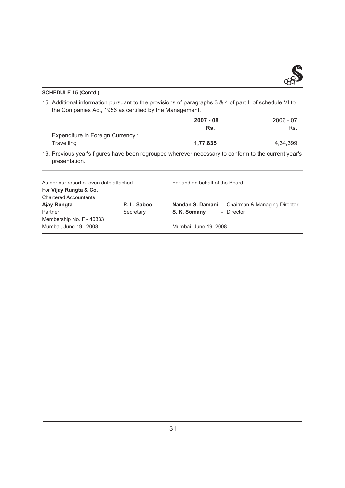

# **SCHEDULE 15 (Contd.)**

15. Additional information pursuant to the provisions of paragraphs 3 & 4 of part II of schedule VI to the Companies Act, 1956 as certified by the Management.

|                                  | $2007 - 08$ | $2006 - 07$ |
|----------------------------------|-------------|-------------|
|                                  | Rs.         | Rs.         |
| Expenditure in Foreign Currency: |             |             |
| Travelling                       | 1,77,835    | 4.34.399    |

16. Previous year's figures have been regrouped wherever necessary to conform to the current year's presentation.

| As per our report of even date attached<br>For Vijay Rungta & Co.<br><b>Chartered Accountants</b> |  | For and on behalf of the Board                                                       |  |
|---------------------------------------------------------------------------------------------------|--|--------------------------------------------------------------------------------------|--|
| R. L. Saboo<br>Ajay Rungta                                                                        |  | <b>Nandan S. Damani</b> - Chairman & Managing Director<br>S. K. Somany<br>- Director |  |
| Secretary<br>Partner<br>Membership No. F - 40333<br>Mumbai, June 19, 2008                         |  | Mumbai, June 19, 2008                                                                |  |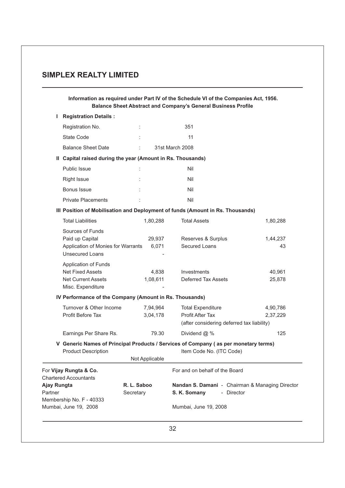**Information as required under Part IV of the Schedule VI of the Companies Act, 1956. Balance Sheet Abstract and Company's General Business Profile**

**I Registration Details :**

| Registration No.                                            | t | 351             |
|-------------------------------------------------------------|---|-----------------|
| State Code                                                  | ٠ | 11              |
| <b>Balance Sheet Date</b>                                   |   | 31st March 2008 |
| II Capital raised during the year (Amount in Rs. Thousands) |   |                 |
| Public Issue                                                | ٠ | Nil             |
| Right Issue                                                 | ٠ | Nil             |
| Bonus Issue                                                 |   | Nil             |

Private Placements : The South State Placements of the State State State State State State State State State State State State State State State State State State State State State State State State State State State State

### **III Position of Mobilisation and Deployment of funds (Amount in Rs. Thousands)**

| <b>Total Liabilities</b>           | 1,80,288 | <b>Total Assets</b> | 1,80,288 |
|------------------------------------|----------|---------------------|----------|
| Sources of Funds                   |          |                     |          |
| Paid up Capital                    | 29,937   | Reserves & Surplus  | 1,44,237 |
| Application of Monies for Warrants | 6.071    | Secured Loans       | 43       |
| Unsecured Loans                    |          |                     |          |
| Application of Funds               |          |                     |          |
| <b>Net Fixed Assets</b>            | 4.838    | Investments         | 40.961   |
| <b>Net Current Assets</b>          | 1,08,611 | Deferred Tax Assets | 25,878   |
| Misc. Expenditure                  |          |                     |          |

### **IV Performance of the Company (Amount in Rs. Thousands)**

| Turnover & Other Income | 7.94.964 | <b>Total Expenditure</b>                   | 4.90.786 |
|-------------------------|----------|--------------------------------------------|----------|
| Profit Before Tax       | 3.04.178 | <b>Profit After Tax</b>                    | 2.37.229 |
|                         |          | (after considering deferred tax liability) |          |
| Earnings Per Share Rs.  | 79.30    | Dividend $@$ %                             | 125      |

# **V Generic Names of Principal Products / Services of Company ( as per monetary terms)** Product Description **Item Code No. (ITC Code)**

|                                                        | Not Applicable           |                                                                               |
|--------------------------------------------------------|--------------------------|-------------------------------------------------------------------------------|
| For Vijay Rungta & Co.<br><b>Chartered Accountants</b> |                          | For and on behalf of the Board                                                |
| Ajay Rungta<br>Partner<br>Membership No. F - 40333     | R. L. Saboo<br>Secretary | Nandan S. Damani - Chairman & Managing Director<br>S. K. Somany<br>- Director |
| Mumbai, June 19, 2008                                  |                          | Mumbai, June 19, 2008                                                         |
|                                                        |                          | າາ                                                                            |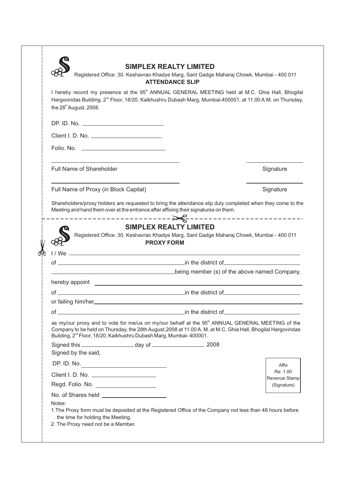**ATTENDANCE SLIP** Registered Office: 30. Keshavrao Khadye Marg, Sant Gadge Maharaj Chowk, Mumbai - 400 011

I hereby record my presence at the 95<sup>th</sup> ANNUAL GENERAL MEETING held at M.C. Ghia Hall, Bhogilal Hargovindas Building, 2<sup>nd</sup> Floor, 18/20, Kaikhushru Dubash Marg, Mumbai-400001, at 11.00 A.M. on Thursday, the  $28<sup>th</sup>$  August, 2008.

DP. ID. No.

| Client I. D. No. |  |
|------------------|--|
|                  |  |

Folio. No. <u>\_\_\_\_\_\_\_\_\_\_\_\_\_\_\_\_\_\_\_\_\_\_\_\_\_\_\_\_\_\_\_\_</u>

Full Name of Shareholder Signature Signature Signature

Full Name of Proxy (in Block Capital)

**Signature** 

Shareholders/proxy holders are requested to bring the attendance slip duly completed when they come to the Meeting and hand them over at the entrance after affixing their signatures on them.

# **SIMPLEX REALTY LIMITED**

**PROXY FORM** Registered Office: 30. Keshavrao Khadye Marg, Sant Gadge Maharaj Chowk, Mumbai - 400 011

|                                                                                           | of $\Box$                                                                                                                                                                                                                    |                              |
|-------------------------------------------------------------------------------------------|------------------------------------------------------------------------------------------------------------------------------------------------------------------------------------------------------------------------------|------------------------------|
| the control of the control of the control of the control of the control of the control of | being member (s) of the above named Company,                                                                                                                                                                                 |                              |
|                                                                                           |                                                                                                                                                                                                                              |                              |
|                                                                                           |                                                                                                                                                                                                                              |                              |
|                                                                                           |                                                                                                                                                                                                                              |                              |
|                                                                                           |                                                                                                                                                                                                                              |                              |
| Building, 2 <sup>nd</sup> Floor, 18/20, Kaikhushru Dubash Marg, Mumbai-400001.            | as my/our proxy and to vote for me/us on my/our behalf at the 95 <sup>th</sup> ANNUAL GENERAL MEETING of the<br>Company to be held on Thursday, the 28th August, 2008 at 11.00 A. M. at M.C. Ghia Hall, Bhogilal Hargovindas |                              |
| Signed by the said,                                                                       |                                                                                                                                                                                                                              |                              |
|                                                                                           |                                                                                                                                                                                                                              | Affix                        |
|                                                                                           |                                                                                                                                                                                                                              | Re. 1.00                     |
| Regd. Folio. No. ____________________                                                     |                                                                                                                                                                                                                              | Revenue Stamp<br>(Signature) |
| Notes:<br>the time for holding the Meeting.                                               | 1. The Proxy form must be deposited at the Registered Office of the Company not less than 48 hours before                                                                                                                    |                              |

2. The Proxy need not be a Member.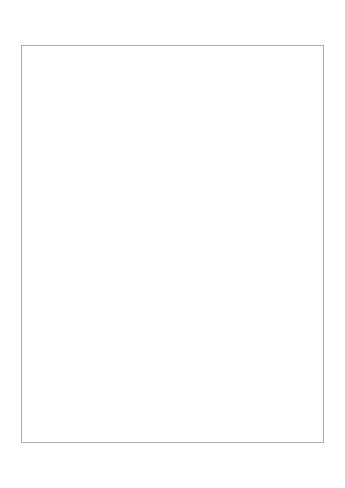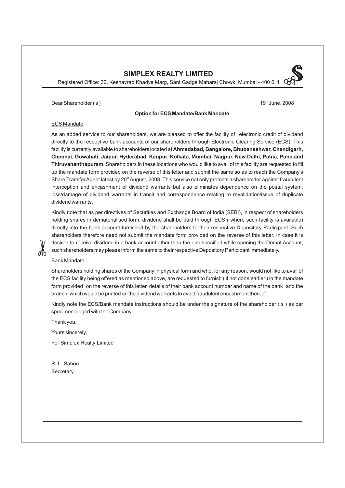Registered Office: 30. Keshavrao Khadye Marg, Sant Gadge Maharaj Chowk, Mumbai - 400 011

#### the Dear Shareholder ( s ) 19th June, 2008

#### **Option for ECS Mandate/Bank Mandate**

#### ECS Mandate

As an added service to our shareholders, we are pleased to offer the facility of electronic credit of dividend directly to the respective bank accounts of our shareholders through Electronic Clearing Service (ECS). This facility is currently available to shareholders located at **Ahmedabad, Bangalore, Bhubaneshwar, Chandigarh, Chennai, Guwahati, Jaipur, Hyderabad, Kanpur, Kolkata, Mumbai, Nagpur, New Delhi, Patna, Pune and Thiruvananthapuram.** Shareholders in these locations who would like to avail of this facility are requested to fill up the mandate form provided on the reverse of this letter and submit the same so as to reach the Company's Share Transfer Agent latest by 20<sup>th</sup> August, 2008. This service not only protects a shareholder against fraudulent interception and encashment of dividend warrants but also eliminates dependence on the postal system, loss/damage of dividend warrants in transit and correspondence relating to revalidation/issue of duplicate dividend warrants.

Kindly note that as per directives of Securities and Exchange Board of India (SEBI), in respect of shareholders holding shares in dematerialised form, dividend shall be paid through ECS ( where such facility is available) directly into the bank account furnished by the shareholders to their respective Depository Participant. Such shareholders therefore need not submit the mandate form provided on the reverse of this letter. In case it is desired to receive dividend in a bank account other than the one specified while opening the Demat Account, such shareholders may please inform the same to their respective Depository Participant immediately.

#### Bank Mandate

Shareholders holding shares of the Company in physical form and who, for any reason, would not like to avail of the ECS facility being offered as mentioned above, are requested to furnish ( if not done earlier ) in the mandate form provided on the reverse of this letter, details of their bank account number and name of the bank and the branch, which would be printed on the dividend warrants to avoid fraudulent encashment thereof.

Kindly note the ECS/Bank mandate instructions should be under the signature of the shareholder ( s ) as per specimen lodged with the Company.

Thank you,

Yours sincerely,

For Simplex Realty Limited

R. L. Saboo **Secretary**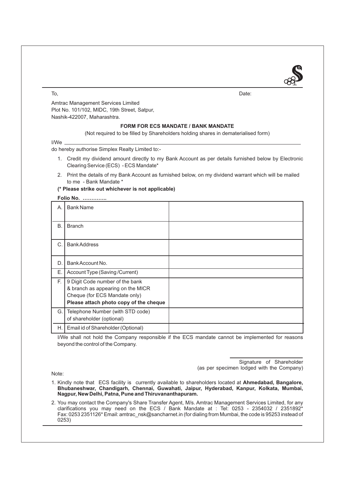

To, Date:

Amtrac Management Services Limited Plot No. 101/102, MIDC, 19th Street, Satpur, Nashik-422007, Maharashtra.

# **FORM FOR ECS MANDATE / BANK MANDATE**

(Not required to be filled by Shareholders holding shares in dematerialised form)

I/We

do hereby authorise Simplex Realty Limited to:-

- 1. Credit my dividend amount directly to my Bank Account as per details furnished below by Electronic Clearing Service (ECS) - ECS Mandate\*
- 2. Print the details of my Bank Account as furnished below, on my dividend warrant which will be mailed to me - Bank Mandate \*

**Folio No. …………..**

| А. | <b>Bank Name</b>                                                                                                                                |  |
|----|-------------------------------------------------------------------------------------------------------------------------------------------------|--|
| B. | <b>Branch</b>                                                                                                                                   |  |
| C. | <b>Bank Address</b>                                                                                                                             |  |
| D. | Bank Account No.                                                                                                                                |  |
| Ε. | Account Type (Saving /Current)                                                                                                                  |  |
| F. | 9 Digit Code number of the bank<br>& branch as appearing on the MICR<br>Cheque (for ECS Mandate only)<br>Please attach photo copy of the cheque |  |
| G. | Telephone Number (with STD code)<br>of shareholder (optional)                                                                                   |  |
| Η. | Email id of Shareholder (Optional)                                                                                                              |  |

I/We shall not hold the Company responsible if the ECS mandate cannot be implemented for reasons beyond the control of the Company.

> Signature of Shareholder (as per specimen lodged with the Company)

Note:

1. Kindly note that ECS facility is currently available to shareholders located at **Ahmedabad, Bangalore, Bhubaneshwar, Chandigarh, Chennai, Guwahati, Jaipur, Hyderabad, Kanpur, Kolkata, Mumbai, Nagpur, New Delhi, Patna, Pune and Thiruvananthapuram.**

2. You may contact the Company's Share Transfer Agent, M/s. Amtrac Management Services Limited, for any clarifications you may need on the ECS / Bank Mandate at : Tel: 0253 - 2354032 / 2351892<sup>\*</sup> Fax: 0253 2351126\* Email: amtrac\_nsk@sancharnet.in (for dialing from Mumbai, the code is 95253 instead of 0253)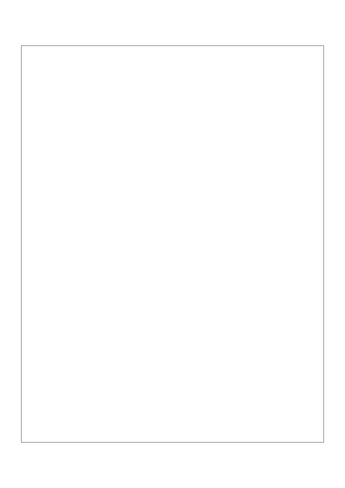